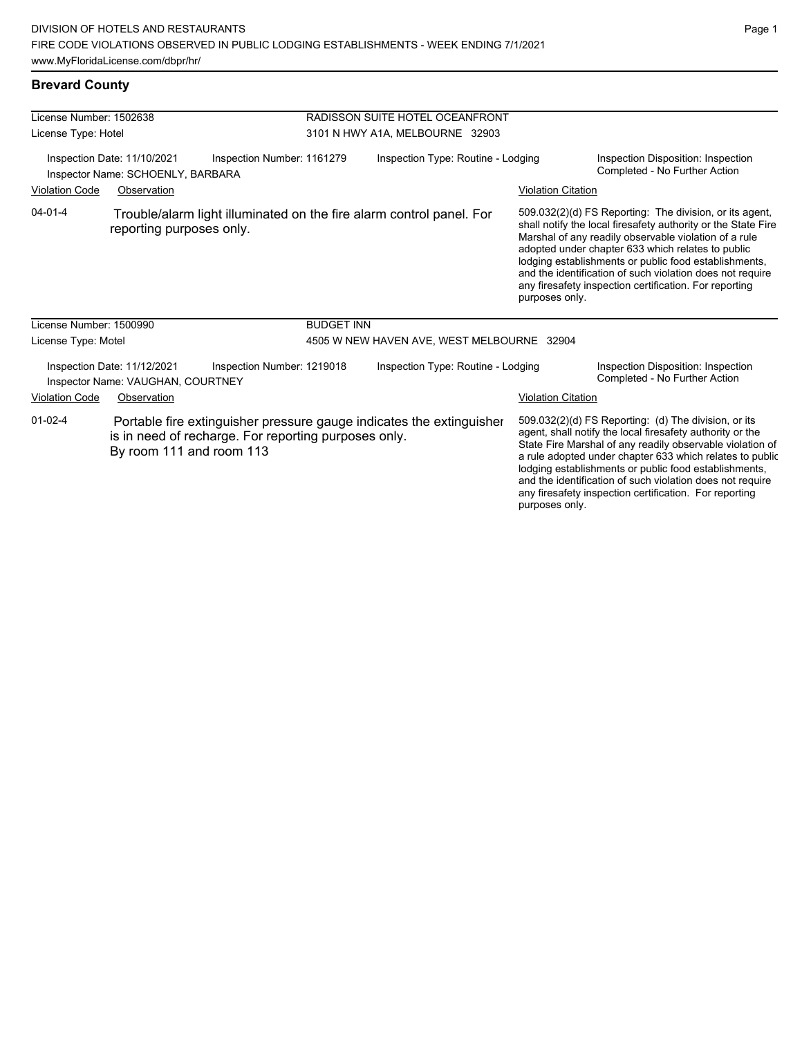| License Number: 1502638                                                                        |                                                                  |                                                      | RADISSON SUITE HOTEL OCEANFRONT    |                                                                      |                           |                                                                                                                                                                                                                                                                                                                                                                                                                            |  |
|------------------------------------------------------------------------------------------------|------------------------------------------------------------------|------------------------------------------------------|------------------------------------|----------------------------------------------------------------------|---------------------------|----------------------------------------------------------------------------------------------------------------------------------------------------------------------------------------------------------------------------------------------------------------------------------------------------------------------------------------------------------------------------------------------------------------------------|--|
| License Type: Hotel                                                                            |                                                                  |                                                      |                                    | 3101 N HWY A1A, MELBOURNE 32903                                      |                           |                                                                                                                                                                                                                                                                                                                                                                                                                            |  |
| Inspection Date: 11/10/2021<br>Inspection Number: 1161279<br>Inspector Name: SCHOENLY, BARBARA |                                                                  |                                                      | Inspection Type: Routine - Lodging |                                                                      |                           | Inspection Disposition: Inspection<br>Completed - No Further Action                                                                                                                                                                                                                                                                                                                                                        |  |
| <b>Violation Code</b>                                                                          | Observation                                                      |                                                      |                                    |                                                                      | <b>Violation Citation</b> |                                                                                                                                                                                                                                                                                                                                                                                                                            |  |
| $04 - 01 - 4$                                                                                  | reporting purposes only.                                         |                                                      |                                    | Trouble/alarm light illuminated on the fire alarm control panel. For | purposes only.            | 509.032(2)(d) FS Reporting: The division, or its agent,<br>shall notify the local firesafety authority or the State Fire<br>Marshal of any readily observable violation of a rule<br>adopted under chapter 633 which relates to public<br>lodging establishments or public food establishments,<br>and the identification of such violation does not require<br>any firesafety inspection certification. For reporting     |  |
| License Number: 1500990                                                                        |                                                                  |                                                      | <b>BUDGET INN</b>                  |                                                                      |                           |                                                                                                                                                                                                                                                                                                                                                                                                                            |  |
| License Type: Motel                                                                            |                                                                  |                                                      |                                    | 4505 W NEW HAVEN AVE, WEST MELBOURNE 32904                           |                           |                                                                                                                                                                                                                                                                                                                                                                                                                            |  |
|                                                                                                | Inspection Date: 11/12/2021<br>Inspector Name: VAUGHAN, COURTNEY | Inspection Number: 1219018                           | Inspection Type: Routine - Lodging |                                                                      |                           | Inspection Disposition: Inspection<br>Completed - No Further Action                                                                                                                                                                                                                                                                                                                                                        |  |
| <b>Violation Code</b>                                                                          | Observation                                                      |                                                      |                                    |                                                                      | <b>Violation Citation</b> |                                                                                                                                                                                                                                                                                                                                                                                                                            |  |
| $01-02-4$                                                                                      | By room 111 and room 113                                         | is in need of recharge. For reporting purposes only. |                                    | Portable fire extinguisher pressure gauge indicates the extinguisher |                           | 509.032(2)(d) FS Reporting: (d) The division, or its<br>agent, shall notify the local firesafety authority or the<br>State Fire Marshal of any readily observable violation of<br>a rule adopted under chapter 633 which relates to public<br>lodging establishments or public food establishments,<br>and the identification of such violation does not require<br>any firesafety inspection certification. For reporting |  |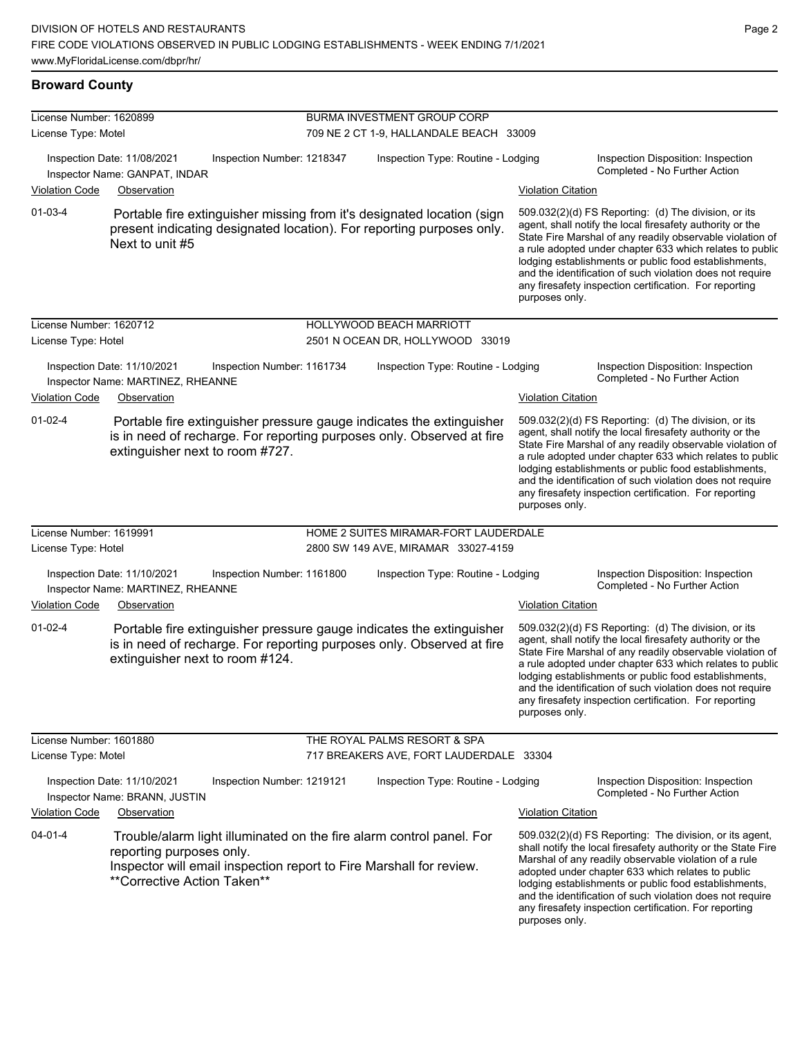# **Broward County**

| License Number: 1620899 |                                                                                 |                                                                                                                                                 | <b>BURMA INVESTMENT GROUP CORP</b>      |                           |                                                                                                                                                                                                                                                                                                                                                                                                                            |  |  |
|-------------------------|---------------------------------------------------------------------------------|-------------------------------------------------------------------------------------------------------------------------------------------------|-----------------------------------------|---------------------------|----------------------------------------------------------------------------------------------------------------------------------------------------------------------------------------------------------------------------------------------------------------------------------------------------------------------------------------------------------------------------------------------------------------------------|--|--|
| License Type: Motel     |                                                                                 |                                                                                                                                                 | 709 NE 2 CT 1-9, HALLANDALE BEACH 33009 |                           |                                                                                                                                                                                                                                                                                                                                                                                                                            |  |  |
|                         | Inspection Date: 11/08/2021<br>Inspector Name: GANPAT, INDAR                    | Inspection Number: 1218347                                                                                                                      | Inspection Type: Routine - Lodging      |                           | Inspection Disposition: Inspection<br>Completed - No Further Action                                                                                                                                                                                                                                                                                                                                                        |  |  |
| <b>Violation Code</b>   | Observation                                                                     |                                                                                                                                                 |                                         | <b>Violation Citation</b> |                                                                                                                                                                                                                                                                                                                                                                                                                            |  |  |
| $01-03-4$               | Next to unit #5                                                                 | Portable fire extinguisher missing from it's designated location (sign<br>present indicating designated location). For reporting purposes only. |                                         | purposes only.            | 509.032(2)(d) FS Reporting: (d) The division, or its<br>agent, shall notify the local firesafety authority or the<br>State Fire Marshal of any readily observable violation of<br>a rule adopted under chapter 633 which relates to public<br>lodging establishments or public food establishments,<br>and the identification of such violation does not require<br>any firesafety inspection certification. For reporting |  |  |
| License Number: 1620712 |                                                                                 |                                                                                                                                                 | <b>HOLLYWOOD BEACH MARRIOTT</b>         |                           |                                                                                                                                                                                                                                                                                                                                                                                                                            |  |  |
| License Type: Hotel     |                                                                                 |                                                                                                                                                 | 2501 N OCEAN DR, HOLLYWOOD 33019        |                           |                                                                                                                                                                                                                                                                                                                                                                                                                            |  |  |
| <b>Violation Code</b>   | Inspection Date: 11/10/2021<br>Inspector Name: MARTINEZ, RHEANNE<br>Observation | Inspection Number: 1161734                                                                                                                      | Inspection Type: Routine - Lodging      | <b>Violation Citation</b> | Inspection Disposition: Inspection<br>Completed - No Further Action                                                                                                                                                                                                                                                                                                                                                        |  |  |
| $01 - 02 - 4$           | extinguisher next to room #727.                                                 | Portable fire extinguisher pressure gauge indicates the extinguisher<br>is in need of recharge. For reporting purposes only. Observed at fire   |                                         | purposes only.            | 509.032(2)(d) FS Reporting: (d) The division, or its<br>agent, shall notify the local firesafety authority or the<br>State Fire Marshal of any readily observable violation of<br>a rule adopted under chapter 633 which relates to public<br>lodging establishments or public food establishments,<br>and the identification of such violation does not require<br>any firesafety inspection certification. For reporting |  |  |
| License Number: 1619991 |                                                                                 |                                                                                                                                                 | HOME 2 SUITES MIRAMAR-FORT LAUDERDALE   |                           |                                                                                                                                                                                                                                                                                                                                                                                                                            |  |  |
| License Type: Hotel     |                                                                                 |                                                                                                                                                 | 2800 SW 149 AVE, MIRAMAR 33027-4159     |                           |                                                                                                                                                                                                                                                                                                                                                                                                                            |  |  |
|                         | Inspection Date: 11/10/2021<br>Inspector Name: MARTINEZ, RHEANNE                | Inspection Number: 1161800                                                                                                                      | Inspection Type: Routine - Lodging      |                           | Inspection Disposition: Inspection<br>Completed - No Further Action                                                                                                                                                                                                                                                                                                                                                        |  |  |
| <b>Violation Code</b>   | Observation                                                                     |                                                                                                                                                 |                                         | <b>Violation Citation</b> |                                                                                                                                                                                                                                                                                                                                                                                                                            |  |  |
| $01 - 02 - 4$           | extinguisher next to room #124.                                                 | Portable fire extinguisher pressure gauge indicates the extinguisher<br>is in need of recharge. For reporting purposes only. Observed at fire   |                                         | purposes only.            | 509.032(2)(d) FS Reporting: (d) The division, or its<br>agent, shall notify the local firesafety authority or the<br>State Fire Marshal of any readily observable violation of<br>a rule adopted under chapter 633 which relates to public<br>lodging establishments or public food establishments,<br>and the identification of such violation does not require<br>any firesafety inspection certification. For reporting |  |  |
| License Number: 1601880 |                                                                                 |                                                                                                                                                 | THE ROYAL PALMS RESORT & SPA            |                           |                                                                                                                                                                                                                                                                                                                                                                                                                            |  |  |
| License Type: Motel     |                                                                                 |                                                                                                                                                 | 717 BREAKERS AVE, FORT LAUDERDALE 33304 |                           |                                                                                                                                                                                                                                                                                                                                                                                                                            |  |  |
|                         | Inspection Date: 11/10/2021<br>Inspector Name: BRANN, JUSTIN                    | Inspection Number: 1219121                                                                                                                      | Inspection Type: Routine - Lodging      |                           | Inspection Disposition: Inspection<br>Completed - No Further Action                                                                                                                                                                                                                                                                                                                                                        |  |  |
| <b>Violation Code</b>   | Observation                                                                     |                                                                                                                                                 |                                         | <b>Violation Citation</b> |                                                                                                                                                                                                                                                                                                                                                                                                                            |  |  |
| $04 - 01 - 4$           | reporting purposes only.<br>**Corrective Action Taken**                         | Trouble/alarm light illuminated on the fire alarm control panel. For<br>Inspector will email inspection report to Fire Marshall for review.     |                                         | purposes only.            | 509.032(2)(d) FS Reporting: The division, or its agent,<br>shall notify the local firesafety authority or the State Fire<br>Marshal of any readily observable violation of a rule<br>adopted under chapter 633 which relates to public<br>lodging establishments or public food establishments,<br>and the identification of such violation does not require<br>any firesafety inspection certification. For reporting     |  |  |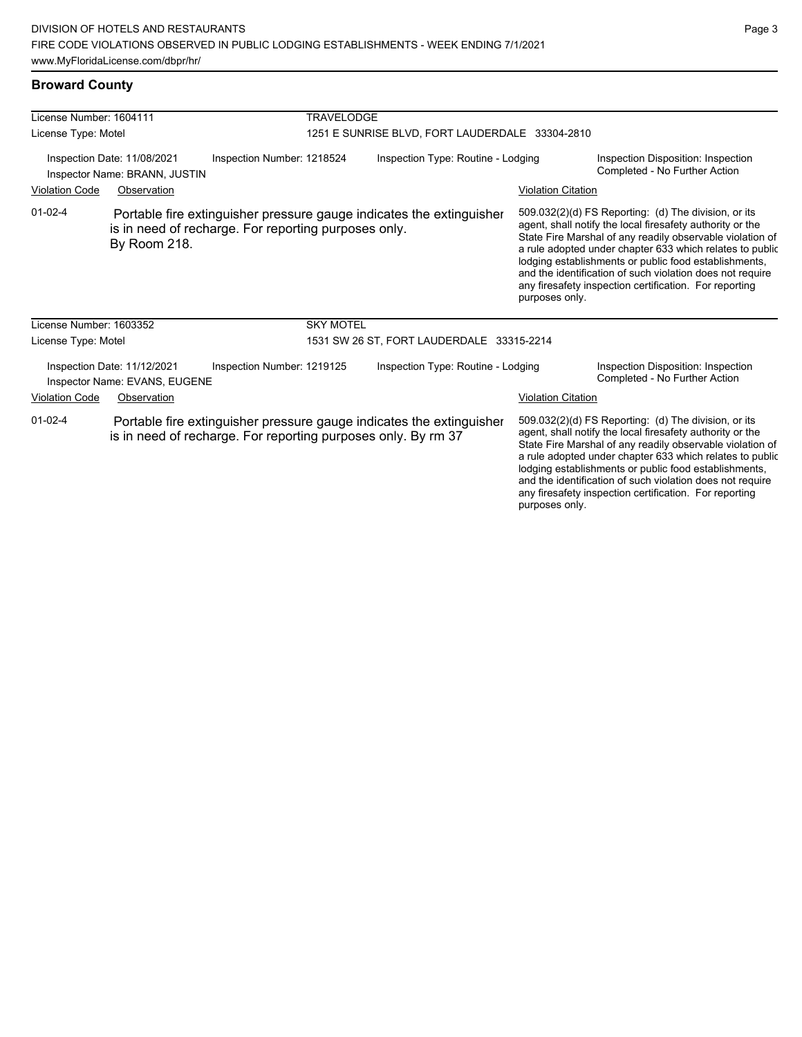#### **Broward County**

| License Number: 1604111                                                                                                                                                         |                                                              | <b>TRAVELODGE</b>                                                                                                                     |                                                                                                                                                                                                                                                                                                                                                                                                                            |                           |                                                                                                                                                                                                                                                                                                                                                                  |  |
|---------------------------------------------------------------------------------------------------------------------------------------------------------------------------------|--------------------------------------------------------------|---------------------------------------------------------------------------------------------------------------------------------------|----------------------------------------------------------------------------------------------------------------------------------------------------------------------------------------------------------------------------------------------------------------------------------------------------------------------------------------------------------------------------------------------------------------------------|---------------------------|------------------------------------------------------------------------------------------------------------------------------------------------------------------------------------------------------------------------------------------------------------------------------------------------------------------------------------------------------------------|--|
| License Type: Motel                                                                                                                                                             |                                                              |                                                                                                                                       | 1251 E SUNRISE BLVD, FORT LAUDERDALE 33304-2810                                                                                                                                                                                                                                                                                                                                                                            |                           |                                                                                                                                                                                                                                                                                                                                                                  |  |
| Inspection Date: 11/08/2021<br>Inspector Name: BRANN, JUSTIN                                                                                                                    |                                                              | Inspection Number: 1218524                                                                                                            | Inspection Type: Routine - Lodging                                                                                                                                                                                                                                                                                                                                                                                         |                           | Inspection Disposition: Inspection<br>Completed - No Further Action                                                                                                                                                                                                                                                                                              |  |
| <b>Violation Code</b><br>Observation                                                                                                                                            |                                                              |                                                                                                                                       |                                                                                                                                                                                                                                                                                                                                                                                                                            | <b>Violation Citation</b> |                                                                                                                                                                                                                                                                                                                                                                  |  |
| $01 - 02 - 4$<br>Portable fire extinguisher pressure gauge indicates the extinguisher<br>is in need of recharge. For reporting purposes only.<br>By Room 218.<br>purposes only. |                                                              |                                                                                                                                       | 509.032(2)(d) FS Reporting: (d) The division, or its<br>agent, shall notify the local firesafety authority or the<br>State Fire Marshal of any readily observable violation of<br>a rule adopted under chapter 633 which relates to public<br>lodging establishments or public food establishments,<br>and the identification of such violation does not require<br>any firesafety inspection certification. For reporting |                           |                                                                                                                                                                                                                                                                                                                                                                  |  |
| License Number: 1603352                                                                                                                                                         |                                                              | <b>SKY MOTEL</b>                                                                                                                      |                                                                                                                                                                                                                                                                                                                                                                                                                            |                           |                                                                                                                                                                                                                                                                                                                                                                  |  |
| License Type: Motel                                                                                                                                                             |                                                              |                                                                                                                                       | 1531 SW 26 ST, FORT LAUDERDALE 33315-2214                                                                                                                                                                                                                                                                                                                                                                                  |                           |                                                                                                                                                                                                                                                                                                                                                                  |  |
|                                                                                                                                                                                 | Inspection Date: 11/12/2021<br>Inspector Name: EVANS, EUGENE | Inspection Number: 1219125                                                                                                            | Inspection Type: Routine - Lodging                                                                                                                                                                                                                                                                                                                                                                                         |                           | Inspection Disposition: Inspection<br>Completed - No Further Action                                                                                                                                                                                                                                                                                              |  |
| <b>Violation Code</b>                                                                                                                                                           | Observation                                                  |                                                                                                                                       | <b>Violation Citation</b>                                                                                                                                                                                                                                                                                                                                                                                                  |                           |                                                                                                                                                                                                                                                                                                                                                                  |  |
| $01 - 02 - 4$                                                                                                                                                                   |                                                              | Portable fire extinguisher pressure gauge indicates the extinguisher<br>is in need of recharge. For reporting purposes only. By rm 37 |                                                                                                                                                                                                                                                                                                                                                                                                                            |                           | 509.032(2)(d) FS Reporting: (d) The division, or its<br>agent, shall notify the local firesafety authority or the<br>State Fire Marshal of any readily observable violation of<br>a rule adopted under chapter 633 which relates to public<br>lodging establishments or public food establishments,<br>and the identification of such violation does not require |  |

any firesafety inspection certification. For reporting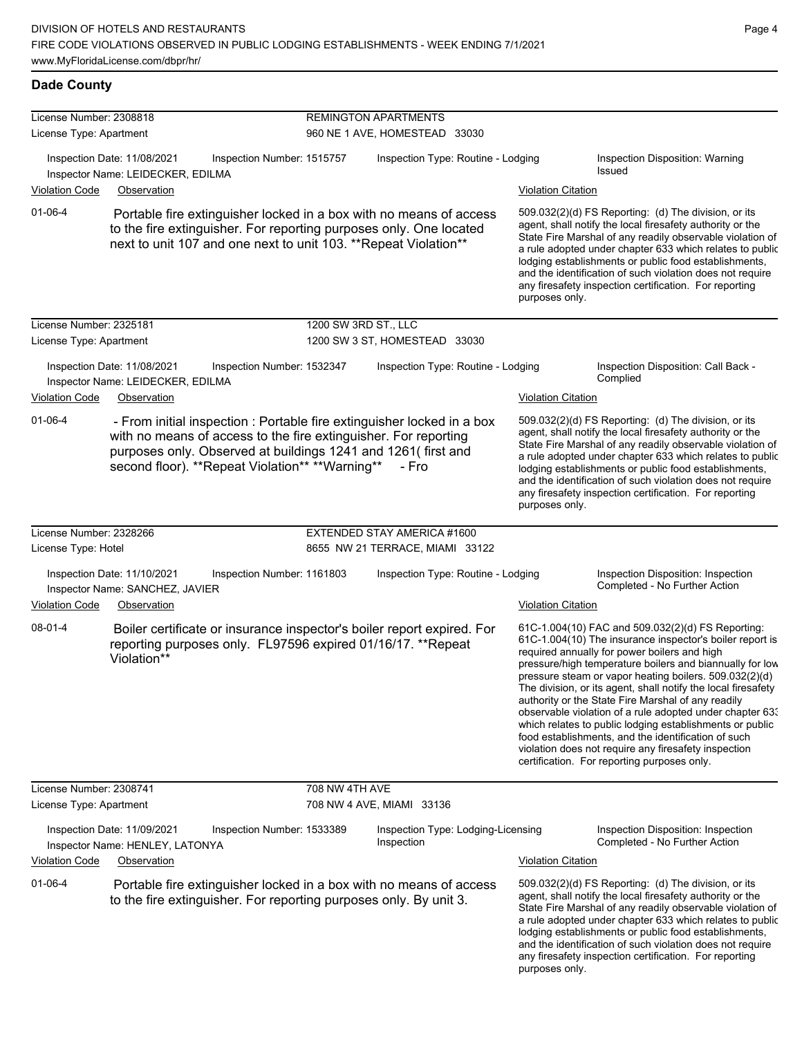| License Number: 2308818 |                                                                                                                                                                                                                                                                |                            |                                                              |                           |                                                                                                                                                                                                                                                                                                                                                                                                                                                                                                                                                                                                                                                                                                  |  |  |  |
|-------------------------|----------------------------------------------------------------------------------------------------------------------------------------------------------------------------------------------------------------------------------------------------------------|----------------------------|--------------------------------------------------------------|---------------------------|--------------------------------------------------------------------------------------------------------------------------------------------------------------------------------------------------------------------------------------------------------------------------------------------------------------------------------------------------------------------------------------------------------------------------------------------------------------------------------------------------------------------------------------------------------------------------------------------------------------------------------------------------------------------------------------------------|--|--|--|
| License Type: Apartment |                                                                                                                                                                                                                                                                |                            | <b>REMINGTON APARTMENTS</b><br>960 NE 1 AVE, HOMESTEAD 33030 |                           |                                                                                                                                                                                                                                                                                                                                                                                                                                                                                                                                                                                                                                                                                                  |  |  |  |
|                         | Inspection Date: 11/08/2021<br>Inspector Name: LEIDECKER, EDILMA                                                                                                                                                                                               | Inspection Number: 1515757 | Inspection Type: Routine - Lodging                           |                           | Inspection Disposition: Warning<br>Issued                                                                                                                                                                                                                                                                                                                                                                                                                                                                                                                                                                                                                                                        |  |  |  |
| <b>Violation Code</b>   | Observation                                                                                                                                                                                                                                                    |                            |                                                              | <b>Violation Citation</b> |                                                                                                                                                                                                                                                                                                                                                                                                                                                                                                                                                                                                                                                                                                  |  |  |  |
| $01 - 06 - 4$           | Portable fire extinguisher locked in a box with no means of access<br>to the fire extinguisher. For reporting purposes only. One located<br>next to unit 107 and one next to unit 103. ** Repeat Violation**                                                   |                            |                                                              | purposes only.            | 509.032(2)(d) FS Reporting: (d) The division, or its<br>agent, shall notify the local firesafety authority or the<br>State Fire Marshal of any readily observable violation of<br>a rule adopted under chapter 633 which relates to public<br>lodging establishments or public food establishments,<br>and the identification of such violation does not require<br>any firesafety inspection certification. For reporting                                                                                                                                                                                                                                                                       |  |  |  |
| License Number: 2325181 |                                                                                                                                                                                                                                                                | 1200 SW 3RD ST., LLC       |                                                              |                           |                                                                                                                                                                                                                                                                                                                                                                                                                                                                                                                                                                                                                                                                                                  |  |  |  |
| License Type: Apartment |                                                                                                                                                                                                                                                                |                            | 1200 SW 3 ST, HOMESTEAD 33030                                |                           |                                                                                                                                                                                                                                                                                                                                                                                                                                                                                                                                                                                                                                                                                                  |  |  |  |
| <b>Violation Code</b>   | Inspection Date: 11/08/2021<br>Inspector Name: LEIDECKER, EDILMA<br>Observation                                                                                                                                                                                | Inspection Number: 1532347 | Inspection Type: Routine - Lodging                           | <b>Violation Citation</b> | Inspection Disposition: Call Back -<br>Complied                                                                                                                                                                                                                                                                                                                                                                                                                                                                                                                                                                                                                                                  |  |  |  |
|                         |                                                                                                                                                                                                                                                                |                            |                                                              |                           |                                                                                                                                                                                                                                                                                                                                                                                                                                                                                                                                                                                                                                                                                                  |  |  |  |
| $01 - 06 - 4$           | - From initial inspection : Portable fire extinguisher locked in a box<br>with no means of access to the fire extinguisher. For reporting<br>purposes only. Observed at buildings 1241 and 1261(first and<br>second floor). ** Repeat Violation** ** Warning** |                            | - Fro                                                        | purposes only.            | 509.032(2)(d) FS Reporting: (d) The division, or its<br>agent, shall notify the local firesafety authority or the<br>State Fire Marshal of any readily observable violation of<br>a rule adopted under chapter 633 which relates to public<br>lodging establishments or public food establishments,<br>and the identification of such violation does not require<br>any firesafety inspection certification. For reporting                                                                                                                                                                                                                                                                       |  |  |  |
| License Number: 2328266 |                                                                                                                                                                                                                                                                |                            | EXTENDED STAY AMERICA #1600                                  |                           |                                                                                                                                                                                                                                                                                                                                                                                                                                                                                                                                                                                                                                                                                                  |  |  |  |
| License Type: Hotel     |                                                                                                                                                                                                                                                                |                            | 8655 NW 21 TERRACE, MIAMI 33122                              |                           |                                                                                                                                                                                                                                                                                                                                                                                                                                                                                                                                                                                                                                                                                                  |  |  |  |
|                         | Inspection Date: 11/10/2021<br>Inspector Name: SANCHEZ, JAVIER                                                                                                                                                                                                 | Inspection Number: 1161803 | Inspection Type: Routine - Lodging                           |                           | Inspection Disposition: Inspection<br>Completed - No Further Action                                                                                                                                                                                                                                                                                                                                                                                                                                                                                                                                                                                                                              |  |  |  |
| <b>Violation Code</b>   | Observation                                                                                                                                                                                                                                                    |                            |                                                              | <b>Violation Citation</b> |                                                                                                                                                                                                                                                                                                                                                                                                                                                                                                                                                                                                                                                                                                  |  |  |  |
| $08 - 01 - 4$           | Boiler certificate or insurance inspector's boiler report expired. For<br>reporting purposes only. FL97596 expired 01/16/17. **Repeat<br>Violation**                                                                                                           |                            |                                                              |                           | 61C-1.004(10) FAC and 509.032(2)(d) FS Reporting:<br>61C-1.004(10) The insurance inspector's boiler report is<br>required annually for power boilers and high<br>pressure/high temperature boilers and biannually for low<br>pressure steam or vapor heating boilers. 509.032(2)(d)<br>The division, or its agent, shall notify the local firesafety<br>authority or the State Fire Marshal of any readily<br>observable violation of a rule adopted under chapter 63.<br>which relates to public lodging establishments or public<br>food establishments, and the identification of such<br>violation does not require any firesafety inspection<br>certification. For reporting purposes only. |  |  |  |
| License Number: 2308741 |                                                                                                                                                                                                                                                                | 708 NW 4TH AVE             |                                                              |                           |                                                                                                                                                                                                                                                                                                                                                                                                                                                                                                                                                                                                                                                                                                  |  |  |  |
| License Type: Apartment |                                                                                                                                                                                                                                                                |                            | 708 NW 4 AVE, MIAMI 33136                                    |                           |                                                                                                                                                                                                                                                                                                                                                                                                                                                                                                                                                                                                                                                                                                  |  |  |  |
|                         | Inspection Date: 11/09/2021<br>Inspector Name: HENLEY, LATONYA                                                                                                                                                                                                 | Inspection Number: 1533389 | Inspection Type: Lodging-Licensing<br>Inspection             |                           | Inspection Disposition: Inspection<br>Completed - No Further Action                                                                                                                                                                                                                                                                                                                                                                                                                                                                                                                                                                                                                              |  |  |  |
| <b>Violation Code</b>   | Observation                                                                                                                                                                                                                                                    |                            |                                                              | <b>Violation Citation</b> |                                                                                                                                                                                                                                                                                                                                                                                                                                                                                                                                                                                                                                                                                                  |  |  |  |
| $01 - 06 - 4$           | Portable fire extinguisher locked in a box with no means of access<br>to the fire extinguisher. For reporting purposes only. By unit 3.                                                                                                                        |                            |                                                              | purposes only.            | 509.032(2)(d) FS Reporting: (d) The division, or its<br>agent, shall notify the local firesafety authority or the<br>State Fire Marshal of any readily observable violation of<br>a rule adopted under chapter 633 which relates to public<br>lodging establishments or public food establishments,<br>and the identification of such violation does not require<br>any firesafety inspection certification. For reporting                                                                                                                                                                                                                                                                       |  |  |  |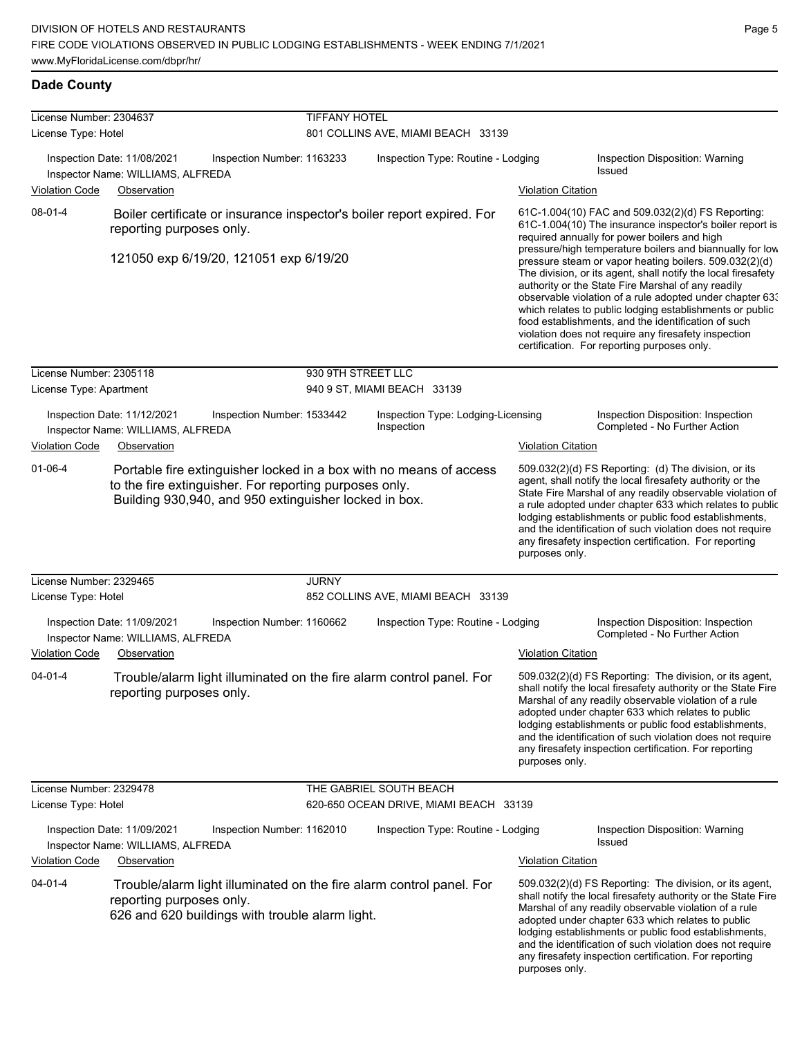| License Number: 2304637                                                                                                          |                                                                  |                                                 | <b>TIFFANY HOTEL</b>                                               |                                                                        |                                                                                                                                                                                                                                                                                                                                                                                                                                                                                                                                 |                                                                                                                                                                                                                                                                                                                                                                                                                        |  |
|----------------------------------------------------------------------------------------------------------------------------------|------------------------------------------------------------------|-------------------------------------------------|--------------------------------------------------------------------|------------------------------------------------------------------------|---------------------------------------------------------------------------------------------------------------------------------------------------------------------------------------------------------------------------------------------------------------------------------------------------------------------------------------------------------------------------------------------------------------------------------------------------------------------------------------------------------------------------------|------------------------------------------------------------------------------------------------------------------------------------------------------------------------------------------------------------------------------------------------------------------------------------------------------------------------------------------------------------------------------------------------------------------------|--|
| License Type: Hotel                                                                                                              |                                                                  |                                                 | 801 COLLINS AVE, MIAMI BEACH 33139                                 |                                                                        |                                                                                                                                                                                                                                                                                                                                                                                                                                                                                                                                 |                                                                                                                                                                                                                                                                                                                                                                                                                        |  |
|                                                                                                                                  | Inspection Date: 11/08/2021<br>Inspector Name: WILLIAMS, ALFREDA | Inspection Number: 1163233                      |                                                                    | Inspection Type: Routine - Lodging                                     |                                                                                                                                                                                                                                                                                                                                                                                                                                                                                                                                 | Inspection Disposition: Warning<br><b>Issued</b>                                                                                                                                                                                                                                                                                                                                                                       |  |
| <b>Violation Code</b>                                                                                                            | Observation                                                      |                                                 |                                                                    |                                                                        | <b>Violation Citation</b>                                                                                                                                                                                                                                                                                                                                                                                                                                                                                                       |                                                                                                                                                                                                                                                                                                                                                                                                                        |  |
| 08-01-4                                                                                                                          | reporting purposes only.                                         |                                                 |                                                                    | Boiler certificate or insurance inspector's boiler report expired. For |                                                                                                                                                                                                                                                                                                                                                                                                                                                                                                                                 | 61C-1.004(10) FAC and 509.032(2)(d) FS Reporting:<br>61C-1.004(10) The insurance inspector's boiler report is<br>required annually for power boilers and high                                                                                                                                                                                                                                                          |  |
|                                                                                                                                  |                                                                  | 121050 exp 6/19/20, 121051 exp 6/19/20          |                                                                    |                                                                        | pressure/high temperature boilers and biannually for low<br>pressure steam or vapor heating boilers. 509.032(2)(d)<br>The division, or its agent, shall notify the local firesafety<br>authority or the State Fire Marshal of any readily<br>observable violation of a rule adopted under chapter 63.<br>which relates to public lodging establishments or public<br>food establishments, and the identification of such<br>violation does not require any firesafety inspection<br>certification. For reporting purposes only. |                                                                                                                                                                                                                                                                                                                                                                                                                        |  |
| License Number: 2305118                                                                                                          |                                                                  |                                                 | 930 9TH STREET LLC                                                 |                                                                        |                                                                                                                                                                                                                                                                                                                                                                                                                                                                                                                                 |                                                                                                                                                                                                                                                                                                                                                                                                                        |  |
| License Type: Apartment                                                                                                          |                                                                  |                                                 |                                                                    | 940 9 ST, MIAMI BEACH 33139                                            |                                                                                                                                                                                                                                                                                                                                                                                                                                                                                                                                 |                                                                                                                                                                                                                                                                                                                                                                                                                        |  |
|                                                                                                                                  | Inspection Date: 11/12/2021<br>Inspector Name: WILLIAMS, ALFREDA | Inspection Number: 1533442                      |                                                                    | Inspection Type: Lodging-Licensing<br>Inspection                       |                                                                                                                                                                                                                                                                                                                                                                                                                                                                                                                                 | Inspection Disposition: Inspection<br>Completed - No Further Action                                                                                                                                                                                                                                                                                                                                                    |  |
| <b>Violation Code</b>                                                                                                            | Observation                                                      |                                                 |                                                                    |                                                                        | <b>Violation Citation</b>                                                                                                                                                                                                                                                                                                                                                                                                                                                                                                       |                                                                                                                                                                                                                                                                                                                                                                                                                        |  |
| $01 - 06 - 4$<br>to the fire extinguisher. For reporting purposes only.<br>Building 930,940, and 950 extinguisher locked in box. |                                                                  |                                                 | Portable fire extinguisher locked in a box with no means of access |                                                                        | 509.032(2)(d) FS Reporting: (d) The division, or its<br>agent, shall notify the local firesafety authority or the<br>State Fire Marshal of any readily observable violation of<br>a rule adopted under chapter 633 which relates to public<br>lodging establishments or public food establishments,<br>and the identification of such violation does not require<br>any firesafety inspection certification. For reporting<br>purposes only.                                                                                    |                                                                                                                                                                                                                                                                                                                                                                                                                        |  |
| License Number: 2329465                                                                                                          |                                                                  |                                                 | <b>JURNY</b>                                                       |                                                                        |                                                                                                                                                                                                                                                                                                                                                                                                                                                                                                                                 |                                                                                                                                                                                                                                                                                                                                                                                                                        |  |
| License Type: Hotel                                                                                                              |                                                                  |                                                 |                                                                    | 852 COLLINS AVE, MIAMI BEACH 33139                                     |                                                                                                                                                                                                                                                                                                                                                                                                                                                                                                                                 |                                                                                                                                                                                                                                                                                                                                                                                                                        |  |
|                                                                                                                                  | Inspection Date: 11/09/2021<br>Inspector Name: WILLIAMS, ALFREDA | Inspection Number: 1160662                      |                                                                    | Inspection Type: Routine - Lodging                                     |                                                                                                                                                                                                                                                                                                                                                                                                                                                                                                                                 | Inspection Disposition: Inspection<br>Completed - No Further Action                                                                                                                                                                                                                                                                                                                                                    |  |
| <b>Violation Code</b>                                                                                                            | Observation                                                      |                                                 |                                                                    |                                                                        | <b>Violation Citation</b>                                                                                                                                                                                                                                                                                                                                                                                                                                                                                                       |                                                                                                                                                                                                                                                                                                                                                                                                                        |  |
| 04-01-4                                                                                                                          | reporting purposes only.                                         |                                                 |                                                                    | Trouble/alarm light illuminated on the fire alarm control panel. For   | purposes only.                                                                                                                                                                                                                                                                                                                                                                                                                                                                                                                  | 509.032(2)(d) FS Reporting: The division, or its agent,<br>shall notify the local firesafety authority or the State Fire<br>Marshal of any readily observable violation of a rule<br>adopted under chapter 633 which relates to public<br>lodging establishments or public food establishments,<br>and the identification of such violation does not require<br>any firesafety inspection certification. For reporting |  |
| License Number: 2329478                                                                                                          |                                                                  |                                                 |                                                                    | THE GABRIEL SOUTH BEACH                                                |                                                                                                                                                                                                                                                                                                                                                                                                                                                                                                                                 |                                                                                                                                                                                                                                                                                                                                                                                                                        |  |
| License Type: Hotel                                                                                                              |                                                                  |                                                 |                                                                    | 620-650 OCEAN DRIVE, MIAMI BEACH 33139                                 |                                                                                                                                                                                                                                                                                                                                                                                                                                                                                                                                 |                                                                                                                                                                                                                                                                                                                                                                                                                        |  |
|                                                                                                                                  | Inspection Date: 11/09/2021<br>Inspector Name: WILLIAMS, ALFREDA | Inspection Number: 1162010                      |                                                                    | Inspection Type: Routine - Lodging                                     |                                                                                                                                                                                                                                                                                                                                                                                                                                                                                                                                 | Inspection Disposition: Warning<br><b>Issued</b>                                                                                                                                                                                                                                                                                                                                                                       |  |
| Violation Code                                                                                                                   | Observation                                                      |                                                 |                                                                    |                                                                        | <b>Violation Citation</b>                                                                                                                                                                                                                                                                                                                                                                                                                                                                                                       |                                                                                                                                                                                                                                                                                                                                                                                                                        |  |
| $04 - 01 - 4$                                                                                                                    | reporting purposes only.                                         | 626 and 620 buildings with trouble alarm light. |                                                                    | Trouble/alarm light illuminated on the fire alarm control panel. For   | purposes only.                                                                                                                                                                                                                                                                                                                                                                                                                                                                                                                  | 509.032(2)(d) FS Reporting: The division, or its agent,<br>shall notify the local firesafety authority or the State Fire<br>Marshal of any readily observable violation of a rule<br>adopted under chapter 633 which relates to public<br>lodging establishments or public food establishments,<br>and the identification of such violation does not require<br>any firesafety inspection certification. For reporting |  |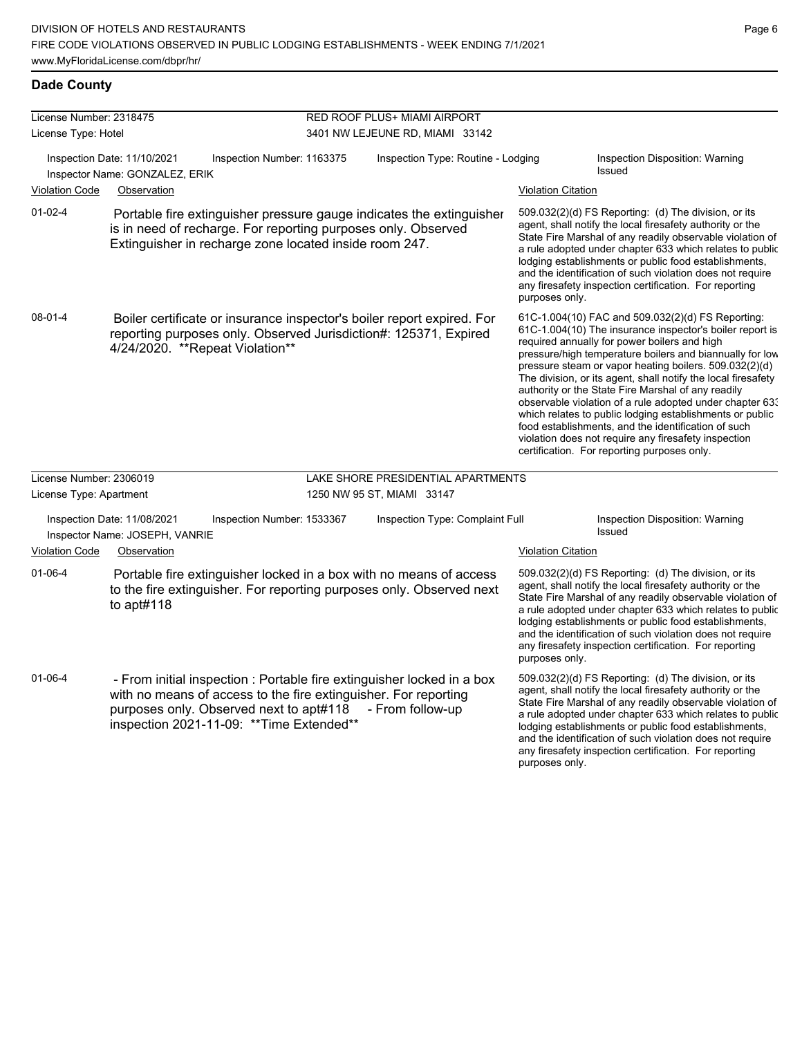any firesafety inspection certification. For reporting

purposes only.

| License Number: 2318475 |                                                               |                                                                                                                                                                                                                                   | RED ROOF PLUS+ MIAMI AIRPORT       |                           |                                                                                                                                                                                                                                                                                                                                                                                                                                                                                                                                                                                                                                                                                                  |  |  |
|-------------------------|---------------------------------------------------------------|-----------------------------------------------------------------------------------------------------------------------------------------------------------------------------------------------------------------------------------|------------------------------------|---------------------------|--------------------------------------------------------------------------------------------------------------------------------------------------------------------------------------------------------------------------------------------------------------------------------------------------------------------------------------------------------------------------------------------------------------------------------------------------------------------------------------------------------------------------------------------------------------------------------------------------------------------------------------------------------------------------------------------------|--|--|
| License Type: Hotel     |                                                               |                                                                                                                                                                                                                                   | 3401 NW LEJEUNE RD, MIAMI 33142    |                           |                                                                                                                                                                                                                                                                                                                                                                                                                                                                                                                                                                                                                                                                                                  |  |  |
|                         | Inspection Date: 11/10/2021<br>Inspector Name: GONZALEZ, ERIK | Inspection Number: 1163375<br>Inspection Type: Routine - Lodging                                                                                                                                                                  |                                    |                           | Inspection Disposition: Warning<br>Issued                                                                                                                                                                                                                                                                                                                                                                                                                                                                                                                                                                                                                                                        |  |  |
| <b>Violation Code</b>   | Observation                                                   |                                                                                                                                                                                                                                   |                                    | <b>Violation Citation</b> |                                                                                                                                                                                                                                                                                                                                                                                                                                                                                                                                                                                                                                                                                                  |  |  |
| $01-02-4$               |                                                               | Portable fire extinguisher pressure gauge indicates the extinguisher<br>is in need of recharge. For reporting purposes only. Observed<br>Extinguisher in recharge zone located inside room 247.                                   |                                    | purposes only.            | 509.032(2)(d) FS Reporting: (d) The division, or its<br>agent, shall notify the local firesafety authority or the<br>State Fire Marshal of any readily observable violation of<br>a rule adopted under chapter 633 which relates to public<br>lodging establishments or public food establishments,<br>and the identification of such violation does not require<br>any firesafety inspection certification. For reporting                                                                                                                                                                                                                                                                       |  |  |
| 08-01-4                 |                                                               | Boiler certificate or insurance inspector's boiler report expired. For<br>reporting purposes only. Observed Jurisdiction#: 125371, Expired<br>4/24/2020. **Repeat Violation**                                                     |                                    |                           | 61C-1.004(10) FAC and 509.032(2)(d) FS Reporting:<br>61C-1.004(10) The insurance inspector's boiler report is<br>required annually for power boilers and high<br>pressure/high temperature boilers and biannually for low<br>pressure steam or vapor heating boilers. 509.032(2)(d)<br>The division, or its agent, shall notify the local firesafety<br>authority or the State Fire Marshal of any readily<br>observable violation of a rule adopted under chapter 633<br>which relates to public lodging establishments or public<br>food establishments, and the identification of such<br>violation does not require any firesafety inspection<br>certification. For reporting purposes only. |  |  |
| License Number: 2306019 |                                                               |                                                                                                                                                                                                                                   | LAKE SHORE PRESIDENTIAL APARTMENTS |                           |                                                                                                                                                                                                                                                                                                                                                                                                                                                                                                                                                                                                                                                                                                  |  |  |
| License Type: Apartment |                                                               |                                                                                                                                                                                                                                   | 1250 NW 95 ST, MIAMI 33147         |                           |                                                                                                                                                                                                                                                                                                                                                                                                                                                                                                                                                                                                                                                                                                  |  |  |
|                         | Inspection Date: 11/08/2021<br>Inspector Name: JOSEPH, VANRIE | Inspection Number: 1533367                                                                                                                                                                                                        | Inspection Type: Complaint Full    |                           | Inspection Disposition: Warning<br>Issued                                                                                                                                                                                                                                                                                                                                                                                                                                                                                                                                                                                                                                                        |  |  |
| <b>Violation Code</b>   | Observation                                                   |                                                                                                                                                                                                                                   |                                    | <b>Violation Citation</b> |                                                                                                                                                                                                                                                                                                                                                                                                                                                                                                                                                                                                                                                                                                  |  |  |
| $01 - 06 - 4$           | to $apt#118$                                                  | Portable fire extinguisher locked in a box with no means of access<br>to the fire extinguisher. For reporting purposes only. Observed next                                                                                        |                                    | purposes only.            | 509.032(2)(d) FS Reporting: (d) The division, or its<br>agent, shall notify the local firesafety authority or the<br>State Fire Marshal of any readily observable violation of<br>a rule adopted under chapter 633 which relates to public<br>lodging establishments or public food establishments,<br>and the identification of such violation does not require<br>any firesafety inspection certification. For reporting                                                                                                                                                                                                                                                                       |  |  |
| 01-06-4                 |                                                               | - From initial inspection : Portable fire extinguisher locked in a box<br>with no means of access to the fire extinguisher. For reporting<br>purposes only. Observed next to apt#118<br>inspection 2021-11-09: ** Time Extended** | - From follow-up                   |                           | 509.032(2)(d) FS Reporting: (d) The division, or its<br>agent, shall notify the local firesafety authority or the<br>State Fire Marshal of any readily observable violation of<br>a rule adopted under chapter 633 which relates to public<br>lodging establishments or public food establishments,<br>and the identification of such violation does not require                                                                                                                                                                                                                                                                                                                                 |  |  |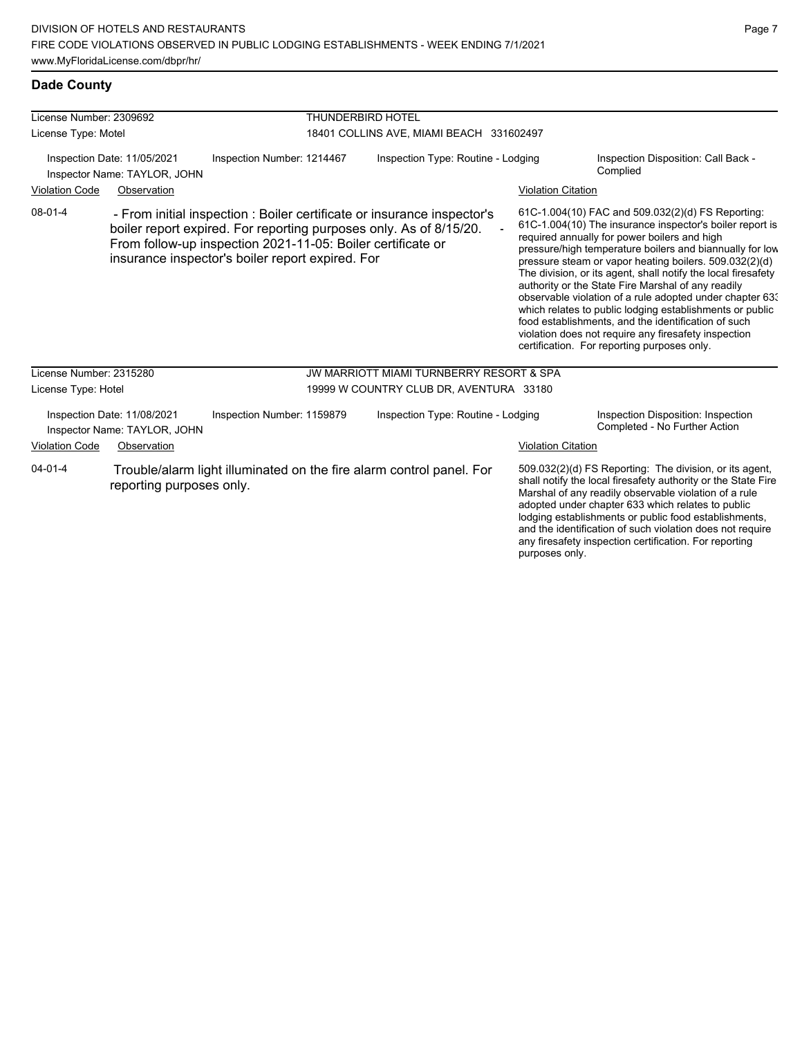| License Number: 2309692                                     |                                                             |                                                                                                                                                                                                                                                                  | <b>THUNDERBIRD HOTEL</b>                            |                           |                                                                                                                                                                                                                                                                                                                                                                                                                                                                                                                                                                                                                                                                                                  |  |  |
|-------------------------------------------------------------|-------------------------------------------------------------|------------------------------------------------------------------------------------------------------------------------------------------------------------------------------------------------------------------------------------------------------------------|-----------------------------------------------------|---------------------------|--------------------------------------------------------------------------------------------------------------------------------------------------------------------------------------------------------------------------------------------------------------------------------------------------------------------------------------------------------------------------------------------------------------------------------------------------------------------------------------------------------------------------------------------------------------------------------------------------------------------------------------------------------------------------------------------------|--|--|
| License Type: Motel                                         |                                                             |                                                                                                                                                                                                                                                                  | 18401 COLLINS AVE, MIAMI BEACH 331602497            |                           |                                                                                                                                                                                                                                                                                                                                                                                                                                                                                                                                                                                                                                                                                                  |  |  |
| Inspection Date: 11/05/2021<br>Inspector Name: TAYLOR, JOHN |                                                             | Inspection Number: 1214467                                                                                                                                                                                                                                       | Inspection Type: Routine - Lodging                  |                           | Inspection Disposition: Call Back -<br>Complied                                                                                                                                                                                                                                                                                                                                                                                                                                                                                                                                                                                                                                                  |  |  |
| <b>Violation Code</b>                                       | Observation                                                 |                                                                                                                                                                                                                                                                  |                                                     | <b>Violation Citation</b> |                                                                                                                                                                                                                                                                                                                                                                                                                                                                                                                                                                                                                                                                                                  |  |  |
| $08 - 01 - 4$                                               |                                                             | - From initial inspection : Boiler certificate or insurance inspector's<br>boiler report expired. For reporting purposes only. As of 8/15/20.<br>From follow-up inspection 2021-11-05: Boiler certificate or<br>insurance inspector's boiler report expired. For |                                                     |                           | 61C-1.004(10) FAC and 509.032(2)(d) FS Reporting:<br>61C-1.004(10) The insurance inspector's boiler report is<br>required annually for power boilers and high<br>pressure/high temperature boilers and biannually for low<br>pressure steam or vapor heating boilers. 509.032(2)(d)<br>The division, or its agent, shall notify the local firesafety<br>authority or the State Fire Marshal of any readily<br>observable violation of a rule adopted under chapter 633<br>which relates to public lodging establishments or public<br>food establishments, and the identification of such<br>violation does not require any firesafety inspection<br>certification. For reporting purposes only. |  |  |
| License Number: 2315280                                     |                                                             |                                                                                                                                                                                                                                                                  | <b>JW MARRIOTT MIAMI TURNBERRY RESORT &amp; SPA</b> |                           |                                                                                                                                                                                                                                                                                                                                                                                                                                                                                                                                                                                                                                                                                                  |  |  |
| License Type: Hotel                                         |                                                             |                                                                                                                                                                                                                                                                  | 19999 W COUNTRY CLUB DR, AVENTURA 33180             |                           |                                                                                                                                                                                                                                                                                                                                                                                                                                                                                                                                                                                                                                                                                                  |  |  |
|                                                             | Inspection Date: 11/08/2021<br>Inspector Name: TAYLOR, JOHN | Inspection Number: 1159879                                                                                                                                                                                                                                       | Inspection Type: Routine - Lodging                  |                           | Inspection Disposition: Inspection<br>Completed - No Further Action                                                                                                                                                                                                                                                                                                                                                                                                                                                                                                                                                                                                                              |  |  |
| <b>Violation Code</b>                                       | Observation                                                 |                                                                                                                                                                                                                                                                  |                                                     | <b>Violation Citation</b> |                                                                                                                                                                                                                                                                                                                                                                                                                                                                                                                                                                                                                                                                                                  |  |  |
| $04 - 01 - 4$<br>reporting purposes only.                   |                                                             | Trouble/alarm light illuminated on the fire alarm control panel. For                                                                                                                                                                                             |                                                     | purposes only.            | 509.032(2)(d) FS Reporting: The division, or its agent,<br>shall notify the local firesafety authority or the State Fire<br>Marshal of any readily observable violation of a rule<br>adopted under chapter 633 which relates to public<br>lodging establishments or public food establishments,<br>and the identification of such violation does not require<br>any firesafety inspection certification. For reporting                                                                                                                                                                                                                                                                           |  |  |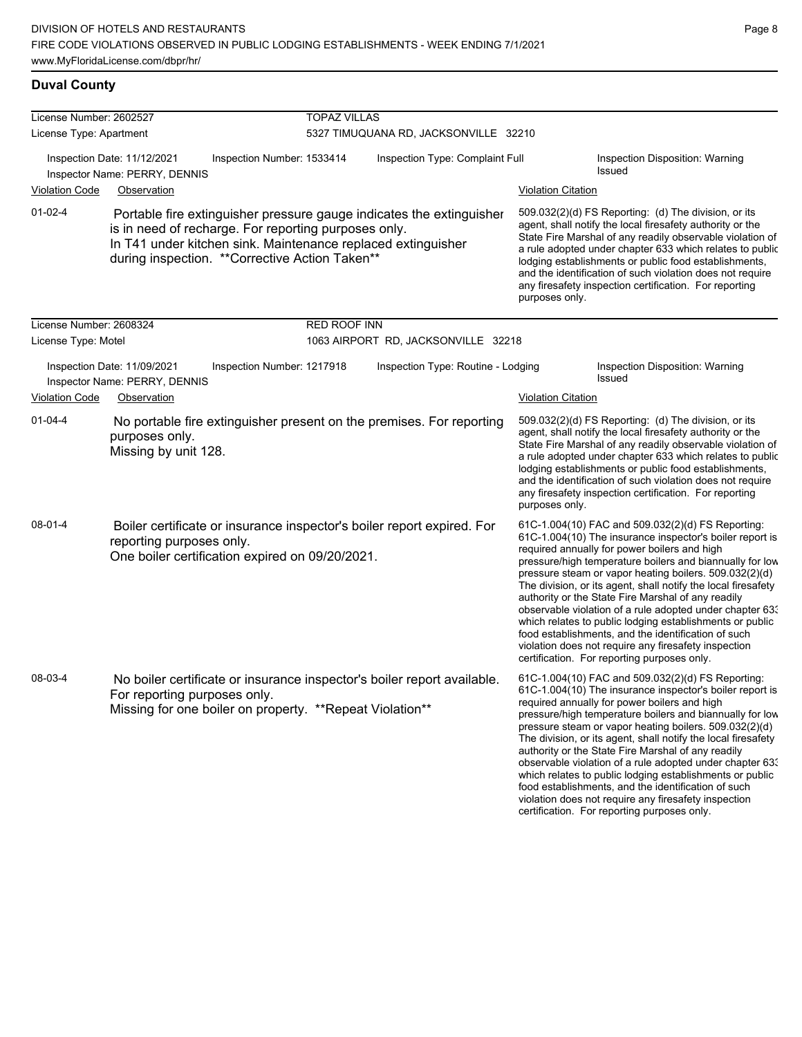# **Duval County**

| License Number: 2602527 |                                                                                                                                                                                                                                                 | <b>TOPAZ VILLAS</b>        |                                       |                           |                                                                                                                                                                                                                                                                                                                                                                                                                                                                                                                                                                                                                                                                                                  |
|-------------------------|-------------------------------------------------------------------------------------------------------------------------------------------------------------------------------------------------------------------------------------------------|----------------------------|---------------------------------------|---------------------------|--------------------------------------------------------------------------------------------------------------------------------------------------------------------------------------------------------------------------------------------------------------------------------------------------------------------------------------------------------------------------------------------------------------------------------------------------------------------------------------------------------------------------------------------------------------------------------------------------------------------------------------------------------------------------------------------------|
| License Type: Apartment |                                                                                                                                                                                                                                                 |                            | 5327 TIMUQUANA RD, JACKSONVILLE 32210 |                           |                                                                                                                                                                                                                                                                                                                                                                                                                                                                                                                                                                                                                                                                                                  |
|                         | Inspection Date: 11/12/2021<br>Inspector Name: PERRY, DENNIS                                                                                                                                                                                    | Inspection Number: 1533414 | Inspection Type: Complaint Full       |                           | Inspection Disposition: Warning<br>Issued                                                                                                                                                                                                                                                                                                                                                                                                                                                                                                                                                                                                                                                        |
| <b>Violation Code</b>   | Observation                                                                                                                                                                                                                                     |                            |                                       | <b>Violation Citation</b> |                                                                                                                                                                                                                                                                                                                                                                                                                                                                                                                                                                                                                                                                                                  |
| $01 - 02 - 4$           | Portable fire extinguisher pressure gauge indicates the extinguisher<br>is in need of recharge. For reporting purposes only.<br>In T41 under kitchen sink. Maintenance replaced extinguisher<br>during inspection. ** Corrective Action Taken** |                            |                                       | purposes only.            | 509.032(2)(d) FS Reporting: (d) The division, or its<br>agent, shall notify the local firesafety authority or the<br>State Fire Marshal of any readily observable violation of<br>a rule adopted under chapter 633 which relates to public<br>lodging establishments or public food establishments,<br>and the identification of such violation does not require<br>any firesafety inspection certification. For reporting                                                                                                                                                                                                                                                                       |
| License Number: 2608324 |                                                                                                                                                                                                                                                 | RED ROOF INN               |                                       |                           |                                                                                                                                                                                                                                                                                                                                                                                                                                                                                                                                                                                                                                                                                                  |
| License Type: Motel     |                                                                                                                                                                                                                                                 |                            | 1063 AIRPORT RD, JACKSONVILLE 32218   |                           |                                                                                                                                                                                                                                                                                                                                                                                                                                                                                                                                                                                                                                                                                                  |
|                         | Inspection Date: 11/09/2021<br>Inspector Name: PERRY, DENNIS                                                                                                                                                                                    | Inspection Number: 1217918 | Inspection Type: Routine - Lodging    |                           | Inspection Disposition: Warning<br>Issued                                                                                                                                                                                                                                                                                                                                                                                                                                                                                                                                                                                                                                                        |
| <b>Violation Code</b>   | Observation                                                                                                                                                                                                                                     |                            |                                       | <b>Violation Citation</b> |                                                                                                                                                                                                                                                                                                                                                                                                                                                                                                                                                                                                                                                                                                  |
| $01 - 04 - 4$           | No portable fire extinguisher present on the premises. For reporting<br>purposes only.<br>Missing by unit 128.                                                                                                                                  |                            |                                       | purposes only.            | 509.032(2)(d) FS Reporting: (d) The division, or its<br>agent, shall notify the local firesafety authority or the<br>State Fire Marshal of any readily observable violation of<br>a rule adopted under chapter 633 which relates to public<br>lodging establishments or public food establishments,<br>and the identification of such violation does not require<br>any firesafety inspection certification. For reporting                                                                                                                                                                                                                                                                       |
| 08-01-4                 | Boiler certificate or insurance inspector's boiler report expired. For<br>reporting purposes only.<br>One boiler certification expired on 09/20/2021.                                                                                           |                            |                                       |                           | 61C-1.004(10) FAC and 509.032(2)(d) FS Reporting:<br>61C-1.004(10) The insurance inspector's boiler report is<br>required annually for power boilers and high<br>pressure/high temperature boilers and biannually for low<br>pressure steam or vapor heating boilers. 509.032(2)(d)<br>The division, or its agent, shall notify the local firesafety<br>authority or the State Fire Marshal of any readily<br>observable violation of a rule adopted under chapter 63.<br>which relates to public lodging establishments or public<br>food establishments, and the identification of such<br>violation does not require any firesafety inspection<br>certification. For reporting purposes only. |
| 08-03-4                 | No boiler certificate or insurance inspector's boiler report available.<br>For reporting purposes only.<br>Missing for one boiler on property. **Repeat Violation**                                                                             |                            |                                       |                           | 61C-1.004(10) FAC and 509.032(2)(d) FS Reporting:<br>61C-1.004(10) The insurance inspector's boiler report is<br>required annually for power boilers and high<br>pressure/high temperature boilers and biannually for low<br>pressure steam or vapor heating boilers. 509.032(2)(d)<br>The division, or its agent, shall notify the local firesafety<br>authority or the State Fire Marshal of any readily<br>observable violation of a rule adopted under chapter 633<br>which relates to public lodging establishments or public<br>food establishments, and the identification of such<br>violation does not require any firesafety inspection<br>certification. For reporting purposes only. |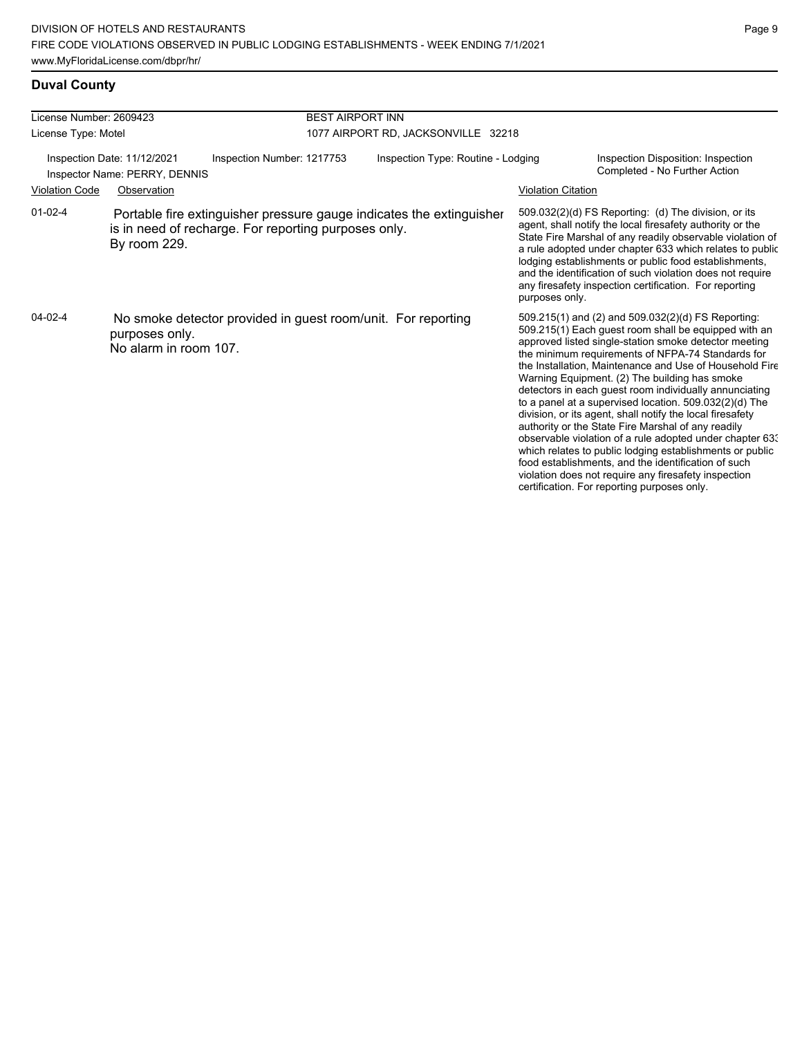# **Duval County**

| License Number: 2609423                                      |                                         |                                                                                                                              | <b>BEST AIRPORT INN</b>             |                           |                                                                                                                                                                                                                                                                                                                                                                                                                                                                                                                                                                                                                                                                                                                                                                                                                                                                   |  |  |
|--------------------------------------------------------------|-----------------------------------------|------------------------------------------------------------------------------------------------------------------------------|-------------------------------------|---------------------------|-------------------------------------------------------------------------------------------------------------------------------------------------------------------------------------------------------------------------------------------------------------------------------------------------------------------------------------------------------------------------------------------------------------------------------------------------------------------------------------------------------------------------------------------------------------------------------------------------------------------------------------------------------------------------------------------------------------------------------------------------------------------------------------------------------------------------------------------------------------------|--|--|
| License Type: Motel                                          |                                         |                                                                                                                              | 1077 AIRPORT RD, JACKSONVILLE 32218 |                           |                                                                                                                                                                                                                                                                                                                                                                                                                                                                                                                                                                                                                                                                                                                                                                                                                                                                   |  |  |
| Inspection Date: 11/12/2021<br>Inspector Name: PERRY, DENNIS |                                         | Inspection Number: 1217753                                                                                                   | Inspection Type: Routine - Lodging  |                           | Inspection Disposition: Inspection<br>Completed - No Further Action                                                                                                                                                                                                                                                                                                                                                                                                                                                                                                                                                                                                                                                                                                                                                                                               |  |  |
| <b>Violation Code</b>                                        | Observation                             |                                                                                                                              |                                     | <b>Violation Citation</b> |                                                                                                                                                                                                                                                                                                                                                                                                                                                                                                                                                                                                                                                                                                                                                                                                                                                                   |  |  |
| $01 - 02 - 4$                                                | By room 229.                            | Portable fire extinguisher pressure gauge indicates the extinguisher<br>is in need of recharge. For reporting purposes only. |                                     | purposes only.            | 509.032(2)(d) FS Reporting: (d) The division, or its<br>agent, shall notify the local firesafety authority or the<br>State Fire Marshal of any readily observable violation of<br>a rule adopted under chapter 633 which relates to public<br>lodging establishments or public food establishments,<br>and the identification of such violation does not require<br>any firesafety inspection certification. For reporting                                                                                                                                                                                                                                                                                                                                                                                                                                        |  |  |
| $04 - 02 - 4$                                                | purposes only.<br>No alarm in room 107. | No smoke detector provided in guest room/unit. For reporting                                                                 |                                     |                           | 509.215(1) and (2) and 509.032(2)(d) FS Reporting:<br>509.215(1) Each guest room shall be equipped with an<br>approved listed single-station smoke detector meeting<br>the minimum requirements of NFPA-74 Standards for<br>the Installation, Maintenance and Use of Household Fire<br>Warning Equipment. (2) The building has smoke<br>detectors in each guest room individually annunciating<br>to a panel at a supervised location. 509.032(2)(d) The<br>division, or its agent, shall notify the local firesafety<br>authority or the State Fire Marshal of any readily<br>observable violation of a rule adopted under chapter 63.<br>which relates to public lodging establishments or public<br>food establishments, and the identification of such<br>violation does not require any firesafety inspection<br>certification. For reporting purposes only. |  |  |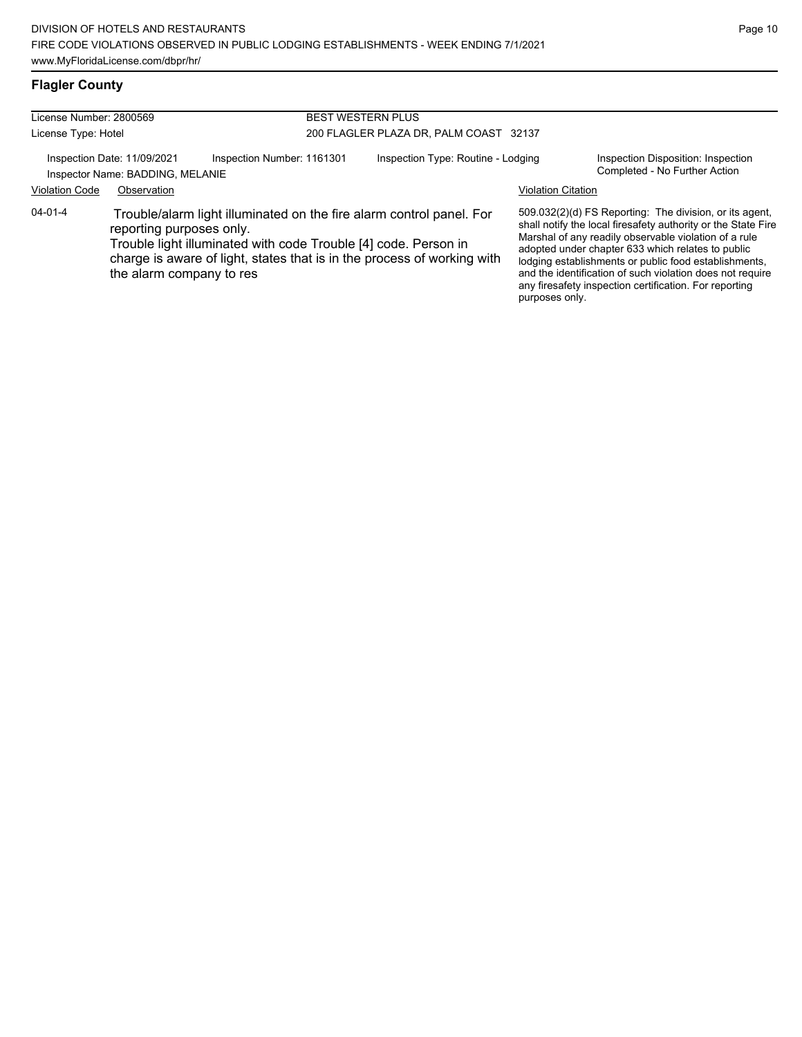# **Flagler County**

| License Number: 2800569 |                                                                 |                                                                 | <b>BEST WESTERN PLUS</b>                                                                                                                        |                           |                                                                                                                                                                                                                                                                                                                                                                                                                        |  |
|-------------------------|-----------------------------------------------------------------|-----------------------------------------------------------------|-------------------------------------------------------------------------------------------------------------------------------------------------|---------------------------|------------------------------------------------------------------------------------------------------------------------------------------------------------------------------------------------------------------------------------------------------------------------------------------------------------------------------------------------------------------------------------------------------------------------|--|
| License Type: Hotel     |                                                                 | 200 FLAGLER PLAZA DR, PALM COAST 32137                          |                                                                                                                                                 |                           |                                                                                                                                                                                                                                                                                                                                                                                                                        |  |
|                         | Inspection Date: 11/09/2021<br>Inspector Name: BADDING, MELANIE | Inspection Number: 1161301                                      | Inspection Type: Routine - Lodging                                                                                                              |                           | Inspection Disposition: Inspection<br>Completed - No Further Action                                                                                                                                                                                                                                                                                                                                                    |  |
| <b>Violation Code</b>   | Observation                                                     |                                                                 |                                                                                                                                                 | <b>Violation Citation</b> |                                                                                                                                                                                                                                                                                                                                                                                                                        |  |
| 04-01-4                 | reporting purposes only.<br>the alarm company to res            | Trouble light illuminated with code Trouble [4] code. Person in | Trouble/alarm light illuminated on the fire alarm control panel. For<br>charge is aware of light, states that is in the process of working with |                           | 509.032(2)(d) FS Reporting: The division, or its agent.<br>shall notify the local firesafety authority or the State Fire<br>Marshal of any readily observable violation of a rule<br>adopted under chapter 633 which relates to public<br>lodging establishments or public food establishments,<br>and the identification of such violation does not require<br>any firesafety inspection certification. For reporting |  |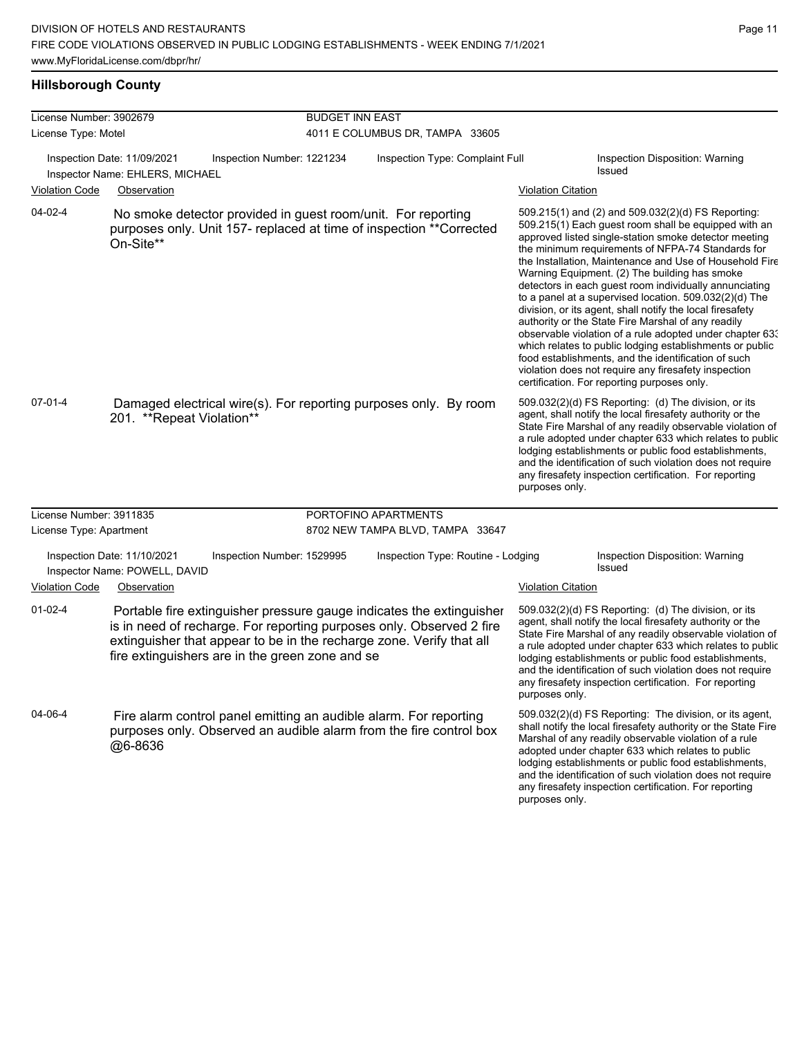| License Number: 3902679 |                                                                |                                                                                                                         | <b>BUDGET INN EAST</b>                                                                                                                       |                           |                                                                                                                                                                                                                                                                                                                                                                                                                                                                                                                                                                                                                                                                                                                                                                                                                                                                     |
|-------------------------|----------------------------------------------------------------|-------------------------------------------------------------------------------------------------------------------------|----------------------------------------------------------------------------------------------------------------------------------------------|---------------------------|---------------------------------------------------------------------------------------------------------------------------------------------------------------------------------------------------------------------------------------------------------------------------------------------------------------------------------------------------------------------------------------------------------------------------------------------------------------------------------------------------------------------------------------------------------------------------------------------------------------------------------------------------------------------------------------------------------------------------------------------------------------------------------------------------------------------------------------------------------------------|
| License Type: Motel     |                                                                |                                                                                                                         | 4011 E COLUMBUS DR, TAMPA 33605                                                                                                              |                           |                                                                                                                                                                                                                                                                                                                                                                                                                                                                                                                                                                                                                                                                                                                                                                                                                                                                     |
|                         | Inspection Date: 11/09/2021<br>Inspector Name: EHLERS, MICHAEL | Inspection Number: 1221234                                                                                              | Inspection Type: Complaint Full                                                                                                              |                           | Inspection Disposition: Warning<br>Issued                                                                                                                                                                                                                                                                                                                                                                                                                                                                                                                                                                                                                                                                                                                                                                                                                           |
| <b>Violation Code</b>   | Observation                                                    |                                                                                                                         |                                                                                                                                              | <b>Violation Citation</b> |                                                                                                                                                                                                                                                                                                                                                                                                                                                                                                                                                                                                                                                                                                                                                                                                                                                                     |
| 04-02-4                 | On-Site**                                                      | No smoke detector provided in guest room/unit. For reporting                                                            | purposes only. Unit 157- replaced at time of inspection ** Corrected                                                                         |                           | 509.215(1) and (2) and 509.032(2)(d) FS Reporting:<br>509.215(1) Each guest room shall be equipped with an<br>approved listed single-station smoke detector meeting<br>the minimum requirements of NFPA-74 Standards for<br>the Installation, Maintenance and Use of Household Fire<br>Warning Equipment. (2) The building has smoke<br>detectors in each guest room individually annunciating<br>to a panel at a supervised location. $509.032(2)(d)$ The<br>division, or its agent, shall notify the local firesafety<br>authority or the State Fire Marshal of any readily<br>observable violation of a rule adopted under chapter 63.<br>which relates to public lodging establishments or public<br>food establishments, and the identification of such<br>violation does not require any firesafety inspection<br>certification. For reporting purposes only. |
| $07 - 01 - 4$           | 201. ** Repeat Violation**                                     |                                                                                                                         | Damaged electrical wire(s). For reporting purposes only. By room                                                                             | purposes only.            | 509.032(2)(d) FS Reporting: (d) The division, or its<br>agent, shall notify the local firesafety authority or the<br>State Fire Marshal of any readily observable violation of<br>a rule adopted under chapter 633 which relates to public<br>lodging establishments or public food establishments,<br>and the identification of such violation does not require<br>any firesafety inspection certification. For reporting                                                                                                                                                                                                                                                                                                                                                                                                                                          |
| License Number: 3911835 |                                                                |                                                                                                                         | PORTOFINO APARTMENTS                                                                                                                         |                           |                                                                                                                                                                                                                                                                                                                                                                                                                                                                                                                                                                                                                                                                                                                                                                                                                                                                     |
| License Type: Apartment |                                                                |                                                                                                                         | 8702 NEW TAMPA BLVD, TAMPA 33647                                                                                                             |                           |                                                                                                                                                                                                                                                                                                                                                                                                                                                                                                                                                                                                                                                                                                                                                                                                                                                                     |
|                         | Inspection Date: 11/10/2021<br>Inspector Name: POWELL, DAVID   | Inspection Number: 1529995                                                                                              | Inspection Type: Routine - Lodging                                                                                                           |                           | Inspection Disposition: Warning<br>Issued                                                                                                                                                                                                                                                                                                                                                                                                                                                                                                                                                                                                                                                                                                                                                                                                                           |
| <b>Violation Code</b>   | Observation                                                    |                                                                                                                         |                                                                                                                                              | <b>Violation Citation</b> |                                                                                                                                                                                                                                                                                                                                                                                                                                                                                                                                                                                                                                                                                                                                                                                                                                                                     |
| $01 - 02 - 4$           |                                                                | extinguisher that appear to be in the recharge zone. Verify that all<br>fire extinguishers are in the green zone and se | Portable fire extinguisher pressure gauge indicates the extinguisher<br>is in need of recharge. For reporting purposes only. Observed 2 fire | purposes only.            | 509.032(2)(d) FS Reporting: (d) The division, or its<br>agent, shall notify the local firesafety authority or the<br>State Fire Marshal of any readily observable violation of<br>a rule adopted under chapter 633 which relates to public<br>lodging establishments or public food establishments,<br>and the identification of such violation does not require<br>any firesafety inspection certification. For reporting                                                                                                                                                                                                                                                                                                                                                                                                                                          |
| 04-06-4                 | @6-8636                                                        | Fire alarm control panel emitting an audible alarm. For reporting                                                       | purposes only. Observed an audible alarm from the fire control box                                                                           |                           | 509.032(2)(d) FS Reporting: The division, or its agent,<br>shall notify the local firesafety authority or the State Fire<br>Marshal of any readily observable violation of a rule<br>adopted under chapter 633 which relates to public<br>lodging establishments or public food establishments,<br>and the identification of such violation does not require                                                                                                                                                                                                                                                                                                                                                                                                                                                                                                        |

any firesafety inspection certification. For reporting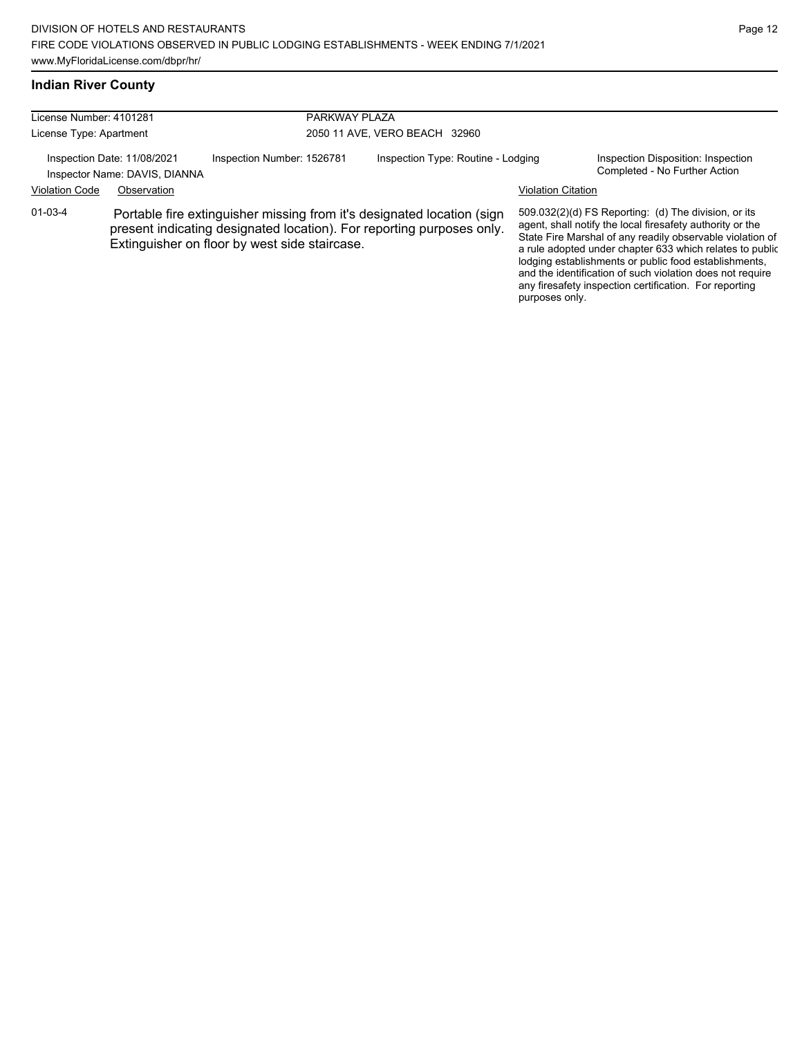any firesafety inspection certification. For reporting

purposes only.

### **Indian River County**

| License Number: 4101281<br>License Type: Apartment                                                   |  |                                               | PARKWAY PLAZA<br>2050 11 AVE, VERO BEACH 32960                                                                                                  |  |                                                                                                                                                                                                                                                                                                                                                                  |  |
|------------------------------------------------------------------------------------------------------|--|-----------------------------------------------|-------------------------------------------------------------------------------------------------------------------------------------------------|--|------------------------------------------------------------------------------------------------------------------------------------------------------------------------------------------------------------------------------------------------------------------------------------------------------------------------------------------------------------------|--|
| Inspection Date: 11/08/2021<br>Inspector Name: DAVIS, DIANNA<br><b>Violation Code</b><br>Observation |  | Inspection Number: 1526781                    | Inspection Type: Routine - Lodging<br><b>Violation Citation</b>                                                                                 |  | Inspection Disposition: Inspection<br>Completed - No Further Action                                                                                                                                                                                                                                                                                              |  |
| $01 - 03 - 4$                                                                                        |  | Extinguisher on floor by west side staircase. | Portable fire extinguisher missing from it's designated location (sign<br>present indicating designated location). For reporting purposes only. |  | 509.032(2)(d) FS Reporting: (d) The division, or its<br>agent, shall notify the local firesafety authority or the<br>State Fire Marshal of any readily observable violation of<br>a rule adopted under chapter 633 which relates to public<br>lodging establishments or public food establishments,<br>and the identification of such violation does not require |  |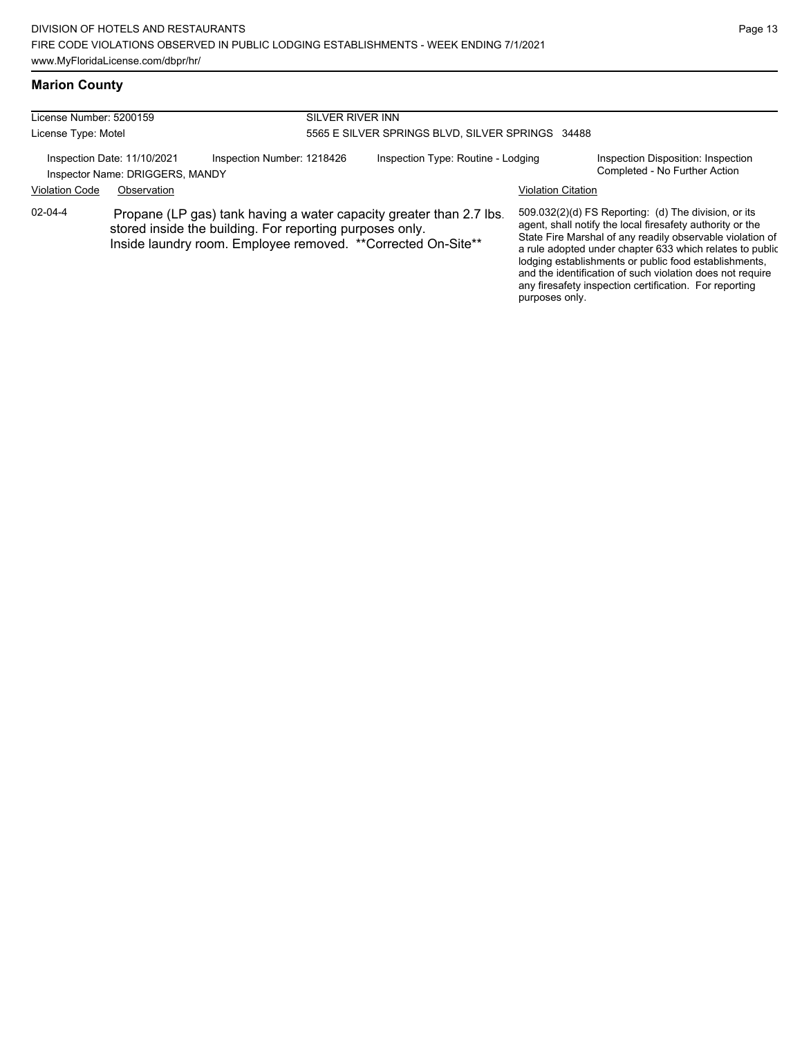### **Marion County**

| License Number: 5200159<br>SILVER RIVER INN |                                                                               |                                                                                                                                                                                                  |                                                  |                           |                                                                                                                                                                                                                                                                                                                                                                                                                            |  |  |
|---------------------------------------------|-------------------------------------------------------------------------------|--------------------------------------------------------------------------------------------------------------------------------------------------------------------------------------------------|--------------------------------------------------|---------------------------|----------------------------------------------------------------------------------------------------------------------------------------------------------------------------------------------------------------------------------------------------------------------------------------------------------------------------------------------------------------------------------------------------------------------------|--|--|
| License Type: Motel                         |                                                                               |                                                                                                                                                                                                  | 5565 E SILVER SPRINGS BLVD. SILVER SPRINGS 34488 |                           |                                                                                                                                                                                                                                                                                                                                                                                                                            |  |  |
| <b>Violation Code</b>                       | Inspection Date: 11/10/2021<br>Inspector Name: DRIGGERS, MANDY<br>Observation | Inspection Number: 1218426                                                                                                                                                                       | Inspection Type: Routine - Lodging               | <b>Violation Citation</b> | Inspection Disposition: Inspection<br>Completed - No Further Action                                                                                                                                                                                                                                                                                                                                                        |  |  |
| $02 - 04 - 4$                               |                                                                               | Propane (LP gas) tank having a water capacity greater than 2.7 lbs.<br>stored inside the building. For reporting purposes only.<br>Inside laundry room. Employee removed. ** Corrected On-Site** |                                                  |                           | 509.032(2)(d) FS Reporting: (d) The division, or its<br>agent, shall notify the local firesafety authority or the<br>State Fire Marshal of any readily observable violation of<br>a rule adopted under chapter 633 which relates to public<br>lodging establishments or public food establishments,<br>and the identification of such violation does not require<br>any firesafety inspection certification. For reporting |  |  |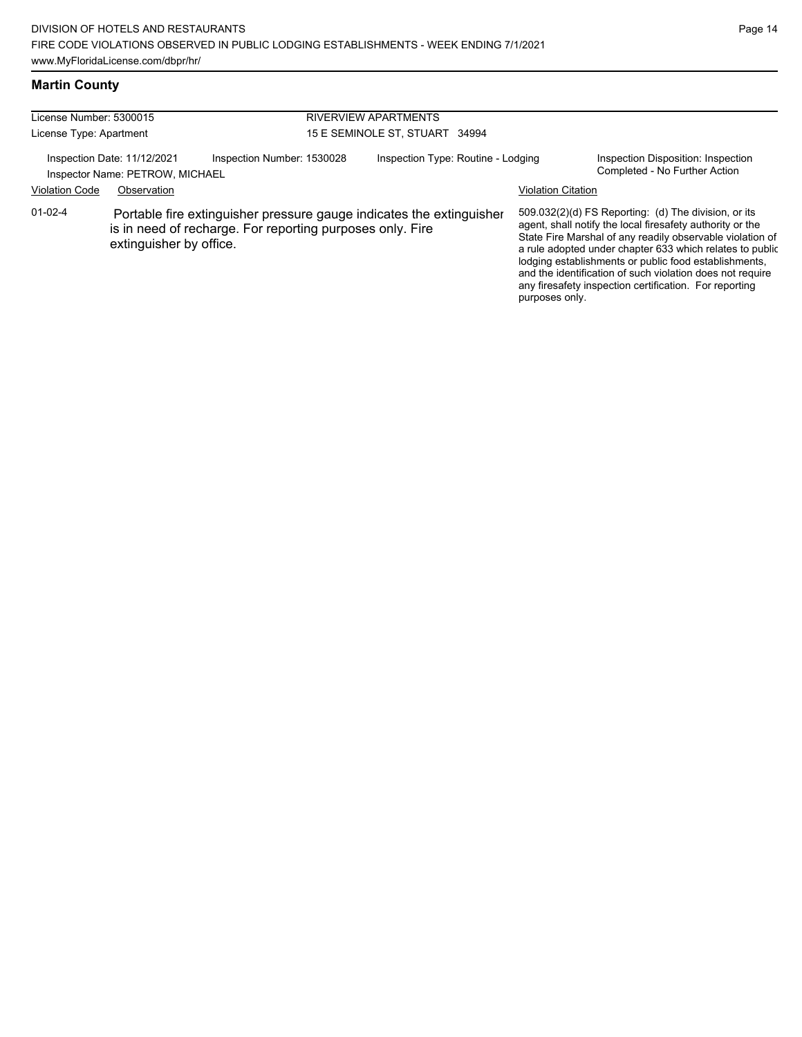### **Martin County**

| License Number: 5300015 |                                                                |                                                                                                                                   | <b>RIVERVIEW APARTMENTS</b>        |                           |                                                                                                                                                                                                                                                                                                                                                                                                                            |  |  |
|-------------------------|----------------------------------------------------------------|-----------------------------------------------------------------------------------------------------------------------------------|------------------------------------|---------------------------|----------------------------------------------------------------------------------------------------------------------------------------------------------------------------------------------------------------------------------------------------------------------------------------------------------------------------------------------------------------------------------------------------------------------------|--|--|
| License Type: Apartment |                                                                |                                                                                                                                   | 15 E SEMINOLE ST, STUART 34994     |                           |                                                                                                                                                                                                                                                                                                                                                                                                                            |  |  |
|                         | Inspection Date: 11/12/2021<br>Inspector Name: PETROW, MICHAEL | Inspection Number: 1530028                                                                                                        | Inspection Type: Routine - Lodging |                           | Inspection Disposition: Inspection<br>Completed - No Further Action                                                                                                                                                                                                                                                                                                                                                        |  |  |
| <b>Violation Code</b>   | Observation                                                    |                                                                                                                                   |                                    | <b>Violation Citation</b> |                                                                                                                                                                                                                                                                                                                                                                                                                            |  |  |
| $01 - 02 - 4$           | extinguisher by office.                                        | Portable fire extinguisher pressure gauge indicates the extinguisher<br>is in need of recharge. For reporting purposes only. Fire |                                    |                           | 509.032(2)(d) FS Reporting: (d) The division, or its<br>agent, shall notify the local firesafety authority or the<br>State Fire Marshal of any readily observable violation of<br>a rule adopted under chapter 633 which relates to public<br>lodging establishments or public food establishments,<br>and the identification of such violation does not require<br>any firesafety inspection certification. For reporting |  |  |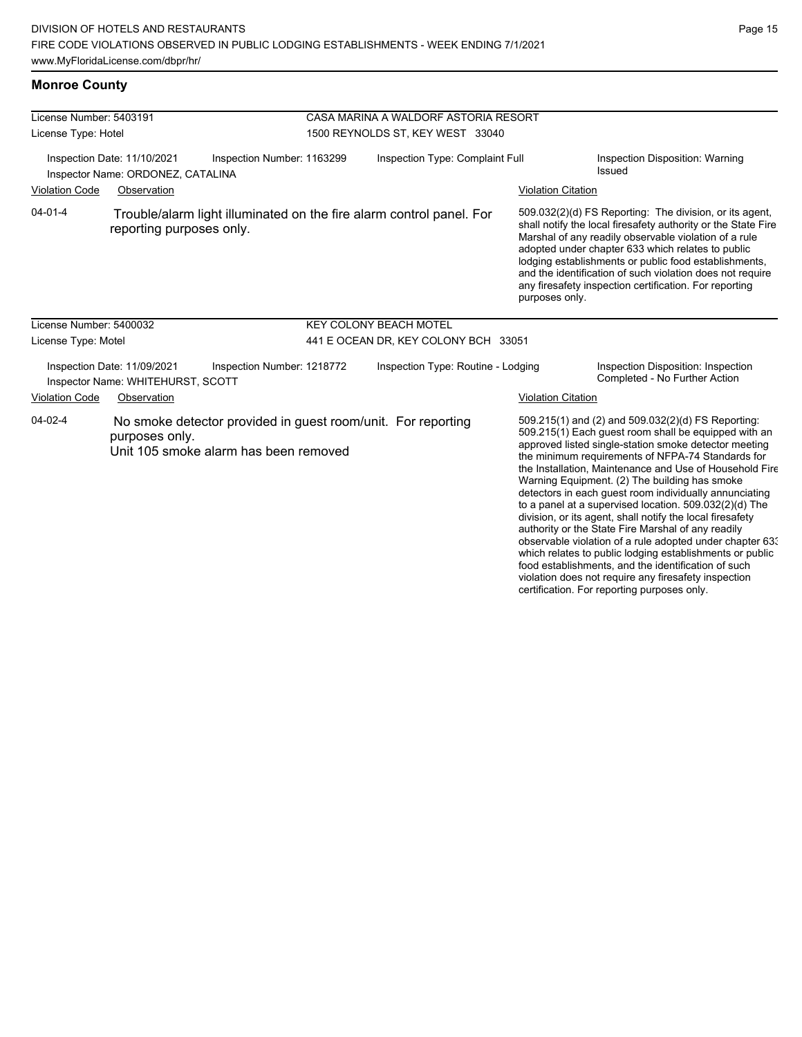which relates to public lodging establishments or public food establishments, and the identification of such violation does not require any firesafety inspection certification. For reporting purposes only.

#### **Monroe County**

| License Number: 5403191<br>License Type: Hotel                                                 |                                                                  |                                                                                                       | CASA MARINA A WALDORF ASTORIA RESORT<br>1500 REYNOLDS ST, KEY WEST 33040 |                                      |                                           |                                                                                                                                                                                                                                                                                                                                                                                                                                                                                                                                                                                                                                         |  |
|------------------------------------------------------------------------------------------------|------------------------------------------------------------------|-------------------------------------------------------------------------------------------------------|--------------------------------------------------------------------------|--------------------------------------|-------------------------------------------|-----------------------------------------------------------------------------------------------------------------------------------------------------------------------------------------------------------------------------------------------------------------------------------------------------------------------------------------------------------------------------------------------------------------------------------------------------------------------------------------------------------------------------------------------------------------------------------------------------------------------------------------|--|
| Inspection Date: 11/10/2021<br>Inspection Number: 1163299<br>Inspector Name: ORDONEZ, CATALINA |                                                                  |                                                                                                       | Inspection Type: Complaint Full                                          |                                      | Inspection Disposition: Warning<br>Issued |                                                                                                                                                                                                                                                                                                                                                                                                                                                                                                                                                                                                                                         |  |
| <b>Violation Code</b>                                                                          | Observation                                                      |                                                                                                       |                                                                          |                                      | <b>Violation Citation</b>                 |                                                                                                                                                                                                                                                                                                                                                                                                                                                                                                                                                                                                                                         |  |
| $04 - 01 - 4$                                                                                  | reporting purposes only.                                         | Trouble/alarm light illuminated on the fire alarm control panel. For                                  |                                                                          |                                      | purposes only.                            | 509.032(2)(d) FS Reporting: The division, or its agent,<br>shall notify the local firesafety authority or the State Fire<br>Marshal of any readily observable violation of a rule<br>adopted under chapter 633 which relates to public<br>lodging establishments or public food establishments,<br>and the identification of such violation does not require<br>any firesafety inspection certification. For reporting                                                                                                                                                                                                                  |  |
| License Number: 5400032                                                                        |                                                                  |                                                                                                       |                                                                          | <b>KEY COLONY BEACH MOTEL</b>        |                                           |                                                                                                                                                                                                                                                                                                                                                                                                                                                                                                                                                                                                                                         |  |
| License Type: Motel                                                                            |                                                                  |                                                                                                       |                                                                          | 441 E OCEAN DR, KEY COLONY BCH 33051 |                                           |                                                                                                                                                                                                                                                                                                                                                                                                                                                                                                                                                                                                                                         |  |
|                                                                                                | Inspection Date: 11/09/2021<br>Inspector Name: WHITEHURST, SCOTT | Inspection Number: 1218772                                                                            | Inspection Type: Routine - Lodging                                       |                                      |                                           | Inspection Disposition: Inspection<br>Completed - No Further Action                                                                                                                                                                                                                                                                                                                                                                                                                                                                                                                                                                     |  |
| <b>Violation Code</b>                                                                          | Observation                                                      |                                                                                                       |                                                                          |                                      | <b>Violation Citation</b>                 |                                                                                                                                                                                                                                                                                                                                                                                                                                                                                                                                                                                                                                         |  |
| $04 - 02 - 4$                                                                                  | purposes only.                                                   | No smoke detector provided in guest room/unit. For reporting<br>Unit 105 smoke alarm has been removed |                                                                          |                                      |                                           | 509.215(1) and (2) and 509.032(2)(d) FS Reporting:<br>509.215(1) Each guest room shall be equipped with an<br>approved listed single-station smoke detector meeting<br>the minimum requirements of NFPA-74 Standards for<br>the Installation, Maintenance and Use of Household Fire<br>Warning Equipment. (2) The building has smoke<br>detectors in each guest room individually annunciating<br>to a panel at a supervised location. 509.032(2)(d) The<br>division, or its agent, shall notify the local firesafety<br>authority or the State Fire Marshal of any readily<br>observable violation of a rule adopted under chapter 63. |  |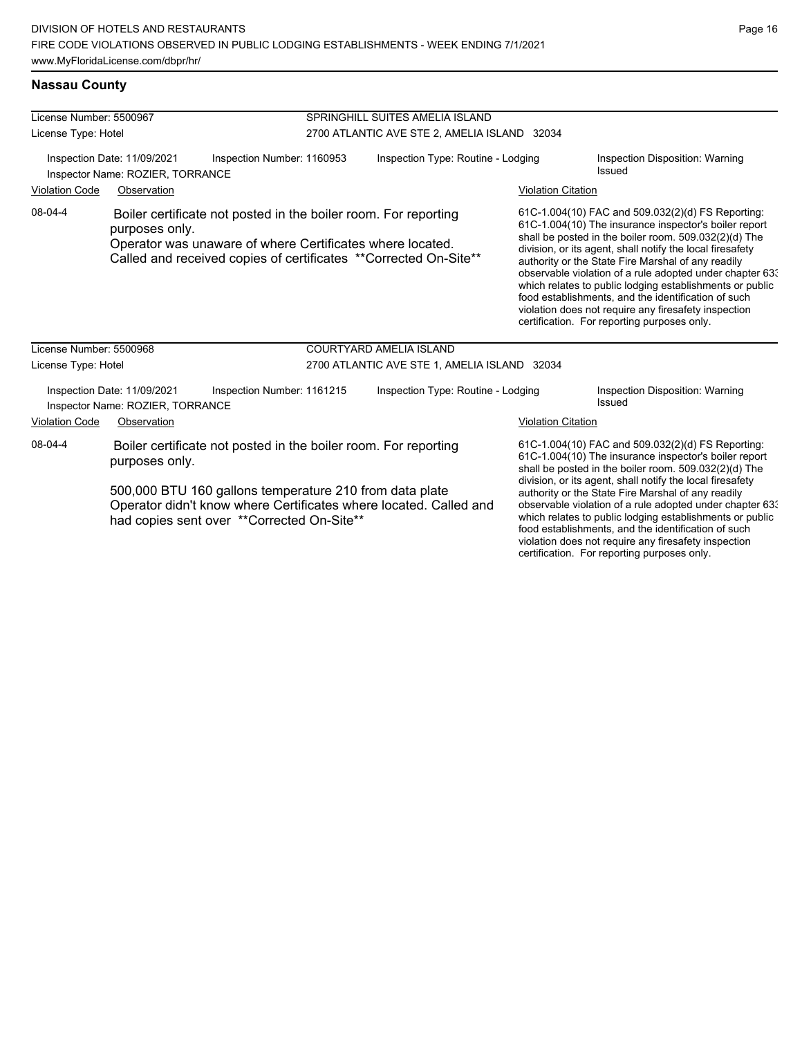### **Nassau County**

| License Number: 5500967 |                                                                 |                                                                                                                                                                                                                                                | SPRINGHILL SUITES AMELIA ISLAND              |  |                           |                                                                                                                                                                                                                                                                                                                                                                                                                                                                                                                                                                              |  |
|-------------------------|-----------------------------------------------------------------|------------------------------------------------------------------------------------------------------------------------------------------------------------------------------------------------------------------------------------------------|----------------------------------------------|--|---------------------------|------------------------------------------------------------------------------------------------------------------------------------------------------------------------------------------------------------------------------------------------------------------------------------------------------------------------------------------------------------------------------------------------------------------------------------------------------------------------------------------------------------------------------------------------------------------------------|--|
| License Type: Hotel     |                                                                 |                                                                                                                                                                                                                                                | 2700 ATLANTIC AVE STE 2, AMELIA ISLAND 32034 |  |                           |                                                                                                                                                                                                                                                                                                                                                                                                                                                                                                                                                                              |  |
|                         | Inspection Date: 11/09/2021<br>Inspector Name: ROZIER, TORRANCE | Inspection Number: 1160953                                                                                                                                                                                                                     | Inspection Type: Routine - Lodging           |  |                           | Inspection Disposition: Warning<br>Issued                                                                                                                                                                                                                                                                                                                                                                                                                                                                                                                                    |  |
| <b>Violation Code</b>   | Observation                                                     |                                                                                                                                                                                                                                                |                                              |  | <b>Violation Citation</b> |                                                                                                                                                                                                                                                                                                                                                                                                                                                                                                                                                                              |  |
| 08-04-4                 | purposes only.                                                  | Boiler certificate not posted in the boiler room. For reporting<br>Operator was unaware of where Certificates where located.<br>Called and received copies of certificates ** Corrected On-Site**                                              |                                              |  |                           | 61C-1.004(10) FAC and 509.032(2)(d) FS Reporting:<br>61C-1.004(10) The insurance inspector's boiler report<br>shall be posted in the boiler room. 509.032(2)(d) The<br>division, or its agent, shall notify the local firesafety<br>authority or the State Fire Marshal of any readily<br>observable violation of a rule adopted under chapter 63.<br>which relates to public lodging establishments or public<br>food establishments, and the identification of such<br>violation does not require any firesafety inspection<br>certification. For reporting purposes only. |  |
| License Number: 5500968 |                                                                 |                                                                                                                                                                                                                                                | <b>COURTYARD AMELIA ISLAND</b>               |  |                           |                                                                                                                                                                                                                                                                                                                                                                                                                                                                                                                                                                              |  |
| License Type: Hotel     |                                                                 |                                                                                                                                                                                                                                                | 2700 ATLANTIC AVE STE 1, AMELIA ISLAND 32034 |  |                           |                                                                                                                                                                                                                                                                                                                                                                                                                                                                                                                                                                              |  |
|                         | Inspection Date: 11/09/2021<br>Inspector Name: ROZIER, TORRANCE | Inspection Number: 1161215                                                                                                                                                                                                                     | Inspection Type: Routine - Lodging           |  |                           | Inspection Disposition: Warning<br>Issued                                                                                                                                                                                                                                                                                                                                                                                                                                                                                                                                    |  |
| <b>Violation Code</b>   | Observation                                                     |                                                                                                                                                                                                                                                |                                              |  | <b>Violation Citation</b> |                                                                                                                                                                                                                                                                                                                                                                                                                                                                                                                                                                              |  |
| 08-04-4                 | purposes only.                                                  | Boiler certificate not posted in the boiler room. For reporting<br>500,000 BTU 160 gallons temperature 210 from data plate<br>Operator didn't know where Certificates where located. Called and<br>had copies sent over ** Corrected On-Site** |                                              |  |                           | 61C-1.004(10) FAC and 509.032(2)(d) FS Reporting:<br>61C-1.004(10) The insurance inspector's boiler report<br>shall be posted in the boiler room. 509.032(2)(d) The<br>division, or its agent, shall notify the local firesafety<br>authority or the State Fire Marshal of any readily<br>observable violation of a rule adopted under chapter 633<br>which relates to public lodging establishments or public<br>food establishments, and the identification of such<br>violation does not require any firesafety inspection<br>certification. For reporting purposes only. |  |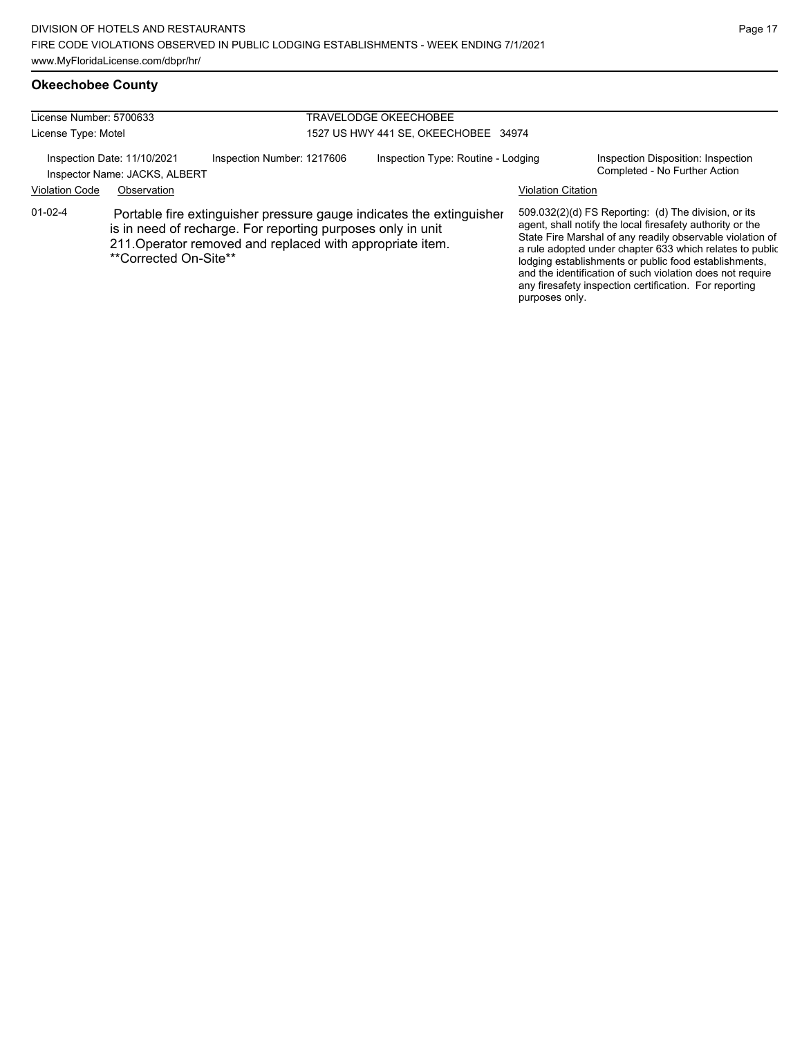# **Okeechobee County**

| License Number: 5700633                                                                    |                                                                                                                                                                                                                           | TRAVELODGE OKEECHOBEE              |                                      |                                                                     |                                                                                                                                                                                                                                                                                                                                                                                                                            |  |
|--------------------------------------------------------------------------------------------|---------------------------------------------------------------------------------------------------------------------------------------------------------------------------------------------------------------------------|------------------------------------|--------------------------------------|---------------------------------------------------------------------|----------------------------------------------------------------------------------------------------------------------------------------------------------------------------------------------------------------------------------------------------------------------------------------------------------------------------------------------------------------------------------------------------------------------------|--|
| License Type: Motel                                                                        |                                                                                                                                                                                                                           |                                    | 1527 US HWY 441 SE, OKEECHOBEE 34974 |                                                                     |                                                                                                                                                                                                                                                                                                                                                                                                                            |  |
| Inspection Number: 1217606<br>Inspection Date: 11/10/2021<br>Inspector Name: JACKS, ALBERT |                                                                                                                                                                                                                           | Inspection Type: Routine - Lodging |                                      | Inspection Disposition: Inspection<br>Completed - No Further Action |                                                                                                                                                                                                                                                                                                                                                                                                                            |  |
| <b>Violation Code</b>                                                                      | Observation                                                                                                                                                                                                               |                                    |                                      |                                                                     | <b>Violation Citation</b>                                                                                                                                                                                                                                                                                                                                                                                                  |  |
| $01 - 02 - 4$                                                                              | Portable fire extinguisher pressure gauge indicates the extinguisher<br>is in need of recharge. For reporting purposes only in unit<br>211. Operator removed and replaced with appropriate item.<br>**Corrected On-Site** |                                    |                                      | purposes only.                                                      | 509.032(2)(d) FS Reporting: (d) The division, or its<br>agent, shall notify the local firesafety authority or the<br>State Fire Marshal of any readily observable violation of<br>a rule adopted under chapter 633 which relates to public<br>lodging establishments or public food establishments,<br>and the identification of such violation does not require<br>any firesafety inspection certification. For reporting |  |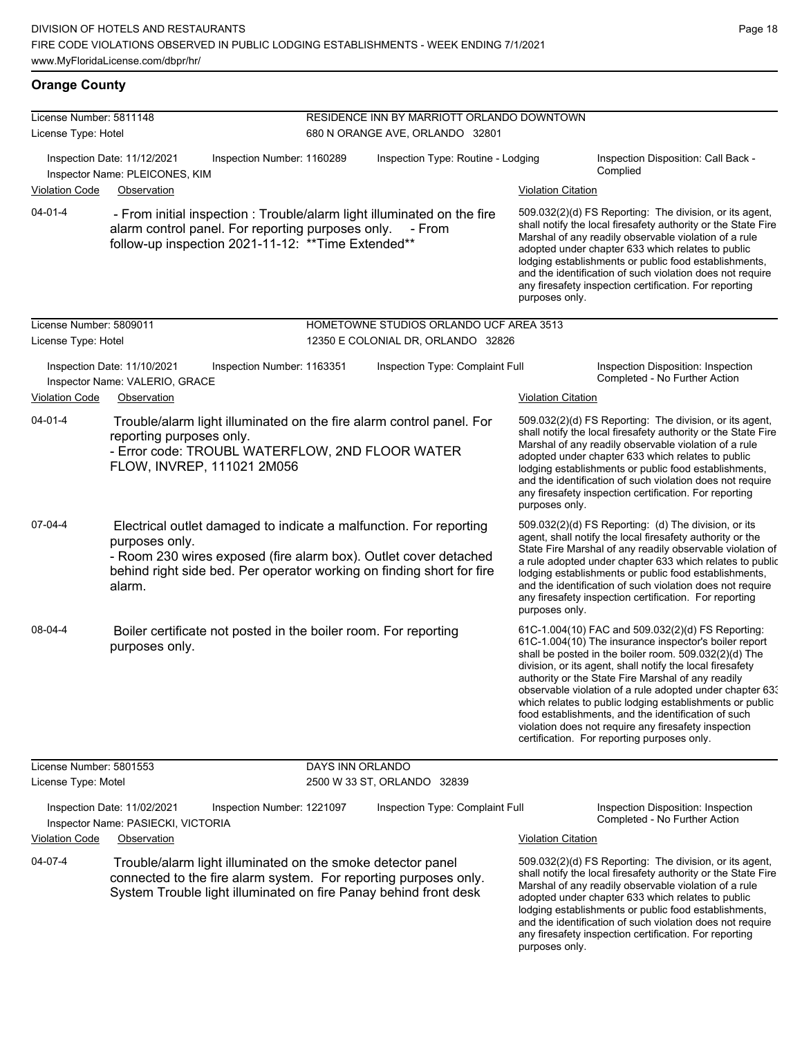### **Orange County**

| License Number: 5811148 |                                                                                                           | RESIDENCE INN BY MARRIOTT ORLANDO DOWNTOWN                                                                                                                                                                      |                                                                                                                                                                                                                                                                                                                                                                                                                                                                                                                                                                              |
|-------------------------|-----------------------------------------------------------------------------------------------------------|-----------------------------------------------------------------------------------------------------------------------------------------------------------------------------------------------------------------|------------------------------------------------------------------------------------------------------------------------------------------------------------------------------------------------------------------------------------------------------------------------------------------------------------------------------------------------------------------------------------------------------------------------------------------------------------------------------------------------------------------------------------------------------------------------------|
| License Type: Hotel     |                                                                                                           | 680 N ORANGE AVE, ORLANDO 32801                                                                                                                                                                                 |                                                                                                                                                                                                                                                                                                                                                                                                                                                                                                                                                                              |
|                         | Inspection Date: 11/12/2021<br>Inspection Number: 1160289<br>Inspector Name: PLEICONES, KIM               | Inspection Type: Routine - Lodging                                                                                                                                                                              | Inspection Disposition: Call Back -<br>Complied                                                                                                                                                                                                                                                                                                                                                                                                                                                                                                                              |
| <b>Violation Code</b>   | Observation                                                                                               |                                                                                                                                                                                                                 | <b>Violation Citation</b>                                                                                                                                                                                                                                                                                                                                                                                                                                                                                                                                                    |
| $04 - 01 - 4$           | alarm control panel. For reporting purposes only.<br>follow-up inspection 2021-11-12. ** Time Extended**  | - From initial inspection : Trouble/alarm light illuminated on the fire<br>- From                                                                                                                               | 509.032(2)(d) FS Reporting: The division, or its agent,<br>shall notify the local firesafety authority or the State Fire<br>Marshal of any readily observable violation of a rule<br>adopted under chapter 633 which relates to public<br>lodging establishments or public food establishments,<br>and the identification of such violation does not require<br>any firesafety inspection certification. For reporting<br>purposes only.                                                                                                                                     |
| License Number: 5809011 |                                                                                                           | HOMETOWNE STUDIOS ORLANDO UCF AREA 3513                                                                                                                                                                         |                                                                                                                                                                                                                                                                                                                                                                                                                                                                                                                                                                              |
| License Type: Hotel     |                                                                                                           | 12350 E COLONIAL DR, ORLANDO 32826                                                                                                                                                                              |                                                                                                                                                                                                                                                                                                                                                                                                                                                                                                                                                                              |
|                         | Inspection Date: 11/10/2021<br>Inspection Number: 1163351<br>Inspector Name: VALERIO, GRACE               | Inspection Type: Complaint Full                                                                                                                                                                                 | Inspection Disposition: Inspection<br>Completed - No Further Action                                                                                                                                                                                                                                                                                                                                                                                                                                                                                                          |
| <b>Violation Code</b>   | Observation                                                                                               |                                                                                                                                                                                                                 | <b>Violation Citation</b>                                                                                                                                                                                                                                                                                                                                                                                                                                                                                                                                                    |
| $04 - 01 - 4$           | reporting purposes only.<br>- Error code: TROUBL WATERFLOW, 2ND FLOOR WATER<br>FLOW, INVREP, 111021 2M056 | Trouble/alarm light illuminated on the fire alarm control panel. For                                                                                                                                            | 509.032(2)(d) FS Reporting: The division, or its agent,<br>shall notify the local firesafety authority or the State Fire<br>Marshal of any readily observable violation of a rule<br>adopted under chapter 633 which relates to public<br>lodging establishments or public food establishments,<br>and the identification of such violation does not require<br>any firesafety inspection certification. For reporting<br>purposes only.                                                                                                                                     |
| 07-04-4                 | purposes only.<br>alarm.                                                                                  | Electrical outlet damaged to indicate a malfunction. For reporting<br>- Room 230 wires exposed (fire alarm box). Outlet cover detached<br>behind right side bed. Per operator working on finding short for fire | 509.032(2)(d) FS Reporting: (d) The division, or its<br>agent, shall notify the local firesafety authority or the<br>State Fire Marshal of any readily observable violation of<br>a rule adopted under chapter 633 which relates to public<br>lodging establishments or public food establishments,<br>and the identification of such violation does not require<br>any firesafety inspection certification. For reporting<br>purposes only.                                                                                                                                 |
| 08-04-4                 | Boiler certificate not posted in the boiler room. For reporting<br>purposes only.                         |                                                                                                                                                                                                                 | 61C-1.004(10) FAC and 509.032(2)(d) FS Reporting:<br>61C-1.004(10) The insurance inspector's boiler report<br>shall be posted in the boiler room. 509.032(2)(d) The<br>division, or its agent, shall notify the local firesafety<br>authority or the State Fire Marshal of any readily<br>observable violation of a rule adopted under chapter 63.<br>which relates to public lodging establishments or public<br>food establishments, and the identification of such<br>violation does not require any firesafety inspection<br>certification. For reporting purposes only. |
| License Number: 5801553 |                                                                                                           | DAYS INN ORLANDO                                                                                                                                                                                                |                                                                                                                                                                                                                                                                                                                                                                                                                                                                                                                                                                              |
| License Type: Motel     |                                                                                                           | 2500 W 33 ST, ORLANDO 32839                                                                                                                                                                                     |                                                                                                                                                                                                                                                                                                                                                                                                                                                                                                                                                                              |
|                         | Inspection Date: 11/02/2021<br>Inspection Number: 1221097<br>Inspector Name: PASIECKI, VICTORIA           | Inspection Type: Complaint Full                                                                                                                                                                                 | Inspection Disposition: Inspection<br>Completed - No Further Action                                                                                                                                                                                                                                                                                                                                                                                                                                                                                                          |
| <b>Violation Code</b>   | Observation                                                                                               |                                                                                                                                                                                                                 | <b>Violation Citation</b>                                                                                                                                                                                                                                                                                                                                                                                                                                                                                                                                                    |
| 04-07-4                 | Trouble/alarm light illuminated on the smoke detector panel                                               | connected to the fire alarm system. For reporting purposes only.<br>System Trouble light illuminated on fire Panay behind front desk                                                                            | 509.032(2)(d) FS Reporting: The division, or its agent,<br>shall notify the local firesafety authority or the State Fire<br>Marshal of any readily observable violation of a rule<br>adopted under chapter 633 which relates to public<br>lodging establishments or public food establishments,                                                                                                                                                                                                                                                                              |

and the identification of such violation does not require any firesafety inspection certification. For reporting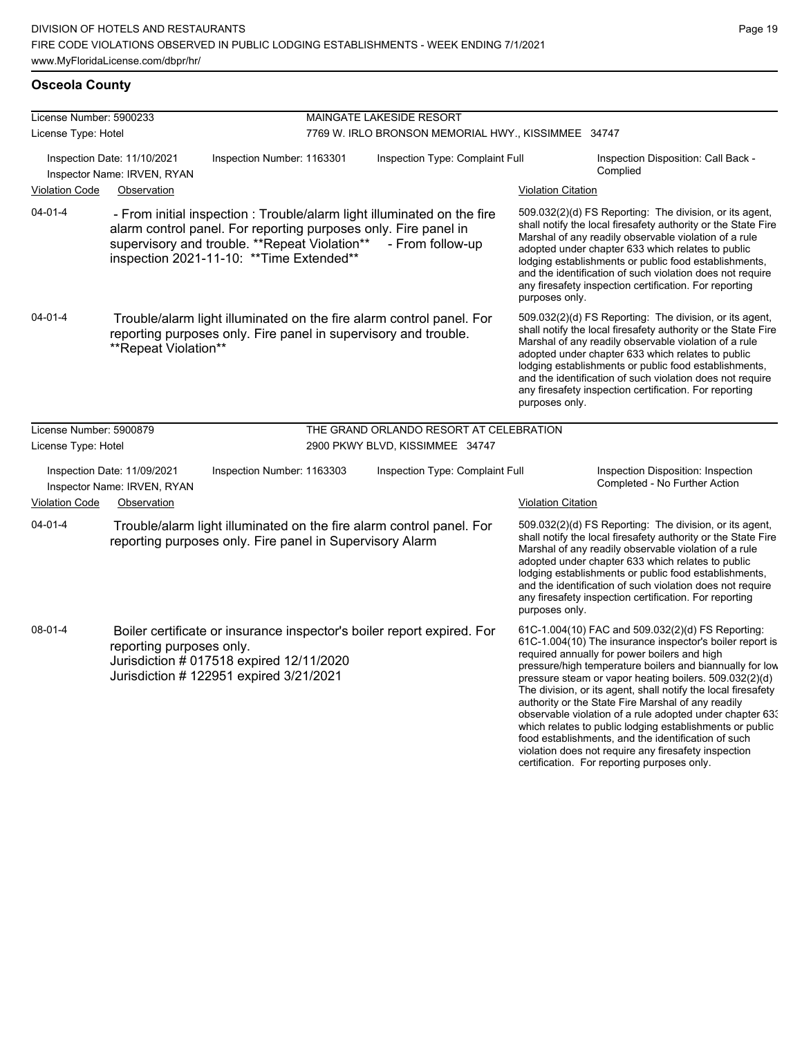# **Osceola County**

| License Number: 5900233 |                                                            |                                                                                                                                                                                                                                           | MAINGATE LAKESIDE RESORT                            |                           |                                                                                                                                                                                                                                                                                                                                                                                                                                                                                                                                                                                                                                                                                                  |
|-------------------------|------------------------------------------------------------|-------------------------------------------------------------------------------------------------------------------------------------------------------------------------------------------------------------------------------------------|-----------------------------------------------------|---------------------------|--------------------------------------------------------------------------------------------------------------------------------------------------------------------------------------------------------------------------------------------------------------------------------------------------------------------------------------------------------------------------------------------------------------------------------------------------------------------------------------------------------------------------------------------------------------------------------------------------------------------------------------------------------------------------------------------------|
| License Type: Hotel     |                                                            |                                                                                                                                                                                                                                           | 7769 W. IRLO BRONSON MEMORIAL HWY., KISSIMMEE 34747 |                           |                                                                                                                                                                                                                                                                                                                                                                                                                                                                                                                                                                                                                                                                                                  |
|                         | Inspection Date: 11/10/2021<br>Inspector Name: IRVEN, RYAN | Inspection Number: 1163301                                                                                                                                                                                                                | Inspection Type: Complaint Full                     |                           | Inspection Disposition: Call Back -<br>Complied                                                                                                                                                                                                                                                                                                                                                                                                                                                                                                                                                                                                                                                  |
| <b>Violation Code</b>   | Observation                                                |                                                                                                                                                                                                                                           |                                                     | <b>Violation Citation</b> |                                                                                                                                                                                                                                                                                                                                                                                                                                                                                                                                                                                                                                                                                                  |
| $04 - 01 - 4$           |                                                            | - From initial inspection : Trouble/alarm light illuminated on the fire<br>alarm control panel. For reporting purposes only. Fire panel in<br>supervisory and trouble. ** Repeat Violation**<br>inspection 2021-11-10: ** Time Extended** | - From follow-up                                    | purposes only.            | 509.032(2)(d) FS Reporting: The division, or its agent,<br>shall notify the local firesafety authority or the State Fire<br>Marshal of any readily observable violation of a rule<br>adopted under chapter 633 which relates to public<br>lodging establishments or public food establishments,<br>and the identification of such violation does not require<br>any firesafety inspection certification. For reporting                                                                                                                                                                                                                                                                           |
| $04 - 01 - 4$           | **Repeat Violation**                                       | Trouble/alarm light illuminated on the fire alarm control panel. For<br>reporting purposes only. Fire panel in supervisory and trouble.                                                                                                   |                                                     | purposes only.            | 509.032(2)(d) FS Reporting: The division, or its agent,<br>shall notify the local firesafety authority or the State Fire<br>Marshal of any readily observable violation of a rule<br>adopted under chapter 633 which relates to public<br>lodging establishments or public food establishments,<br>and the identification of such violation does not require<br>any firesafety inspection certification. For reporting                                                                                                                                                                                                                                                                           |
| License Number: 5900879 |                                                            |                                                                                                                                                                                                                                           | THE GRAND ORLANDO RESORT AT CELEBRATION             |                           |                                                                                                                                                                                                                                                                                                                                                                                                                                                                                                                                                                                                                                                                                                  |
| License Type: Hotel     |                                                            |                                                                                                                                                                                                                                           | 2900 PKWY BLVD, KISSIMMEE 34747                     |                           |                                                                                                                                                                                                                                                                                                                                                                                                                                                                                                                                                                                                                                                                                                  |
|                         | Inspection Date: 11/09/2021<br>Inspector Name: IRVEN, RYAN | Inspection Number: 1163303                                                                                                                                                                                                                | Inspection Type: Complaint Full                     |                           | Inspection Disposition: Inspection<br>Completed - No Further Action                                                                                                                                                                                                                                                                                                                                                                                                                                                                                                                                                                                                                              |
| <b>Violation Code</b>   | Observation                                                |                                                                                                                                                                                                                                           |                                                     | <b>Violation Citation</b> |                                                                                                                                                                                                                                                                                                                                                                                                                                                                                                                                                                                                                                                                                                  |
| $04 - 01 - 4$           |                                                            | Trouble/alarm light illuminated on the fire alarm control panel. For<br>reporting purposes only. Fire panel in Supervisory Alarm                                                                                                          |                                                     | purposes only.            | 509.032(2)(d) FS Reporting: The division, or its agent,<br>shall notify the local firesafety authority or the State Fire<br>Marshal of any readily observable violation of a rule<br>adopted under chapter 633 which relates to public<br>lodging establishments or public food establishments,<br>and the identification of such violation does not require<br>any firesafety inspection certification. For reporting                                                                                                                                                                                                                                                                           |
| 08-01-4                 | reporting purposes only.                                   | Boiler certificate or insurance inspector's boiler report expired. For<br>Jurisdiction # 017518 expired 12/11/2020<br>Jurisdiction # 122951 expired 3/21/2021                                                                             |                                                     |                           | 61C-1.004(10) FAC and 509.032(2)(d) FS Reporting:<br>61C-1.004(10) The insurance inspector's boiler report is<br>required annually for power boilers and high<br>pressure/high temperature boilers and biannually for low<br>pressure steam or vapor heating boilers. 509.032(2)(d)<br>The division, or its agent, shall notify the local firesafety<br>authority or the State Fire Marshal of any readily<br>observable violation of a rule adopted under chapter 63.<br>which relates to public lodging establishments or public<br>food establishments, and the identification of such<br>violation does not require any firesafety inspection<br>certification. For reporting purposes only. |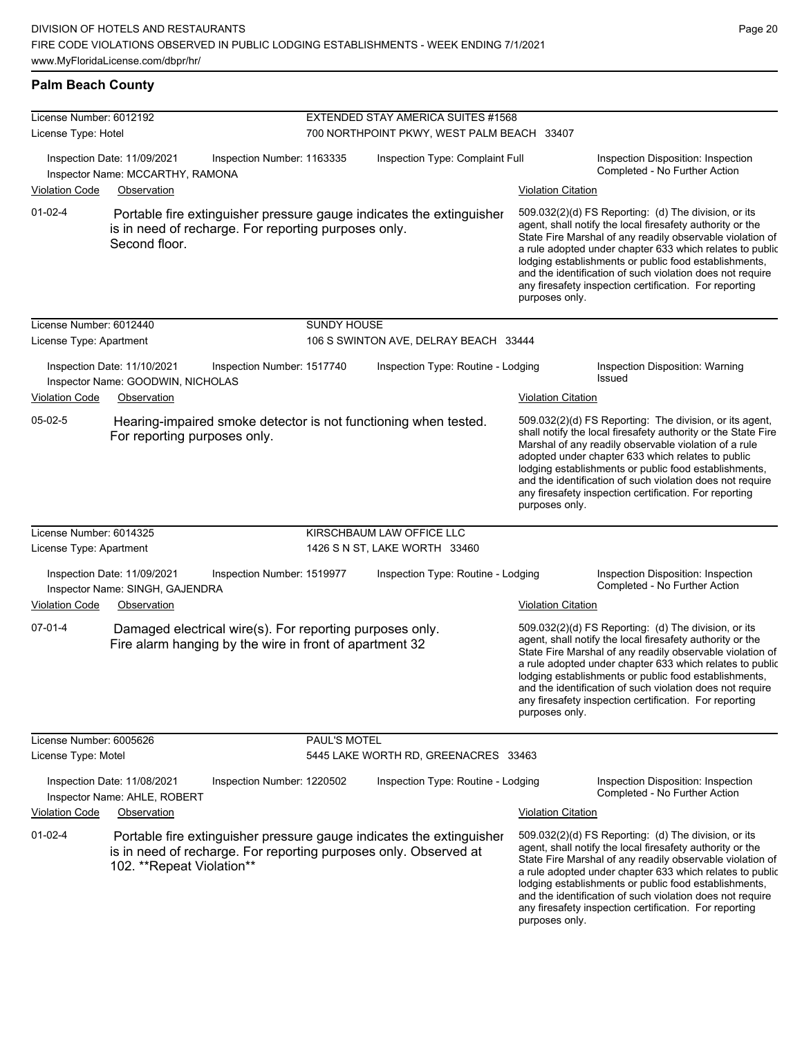### **Palm Beach County**

| License Number: 6012192 |                                                                  |                                                                                                                     |                                            | EXTENDED STAY AMERICA SUITES #1568                                                                                                       |                           |                                                                                                                                                                                                                                                                                                                                                                                                                            |  |  |
|-------------------------|------------------------------------------------------------------|---------------------------------------------------------------------------------------------------------------------|--------------------------------------------|------------------------------------------------------------------------------------------------------------------------------------------|---------------------------|----------------------------------------------------------------------------------------------------------------------------------------------------------------------------------------------------------------------------------------------------------------------------------------------------------------------------------------------------------------------------------------------------------------------------|--|--|
| License Type: Hotel     |                                                                  |                                                                                                                     | 700 NORTHPOINT PKWY, WEST PALM BEACH 33407 |                                                                                                                                          |                           |                                                                                                                                                                                                                                                                                                                                                                                                                            |  |  |
|                         | Inspection Date: 11/09/2021<br>Inspector Name: MCCARTHY, RAMONA  | Inspection Number: 1163335                                                                                          |                                            | Inspection Type: Complaint Full                                                                                                          |                           | Inspection Disposition: Inspection<br>Completed - No Further Action                                                                                                                                                                                                                                                                                                                                                        |  |  |
| <b>Violation Code</b>   | Observation                                                      |                                                                                                                     |                                            |                                                                                                                                          | <b>Violation Citation</b> |                                                                                                                                                                                                                                                                                                                                                                                                                            |  |  |
| $01 - 02 - 4$           | Second floor.                                                    | is in need of recharge. For reporting purposes only.                                                                |                                            | Portable fire extinguisher pressure gauge indicates the extinguisher                                                                     | purposes only.            | 509.032(2)(d) FS Reporting: (d) The division, or its<br>agent, shall notify the local firesafety authority or the<br>State Fire Marshal of any readily observable violation of<br>a rule adopted under chapter 633 which relates to public<br>lodging establishments or public food establishments,<br>and the identification of such violation does not require<br>any firesafety inspection certification. For reporting |  |  |
| License Number: 6012440 |                                                                  |                                                                                                                     | <b>SUNDY HOUSE</b>                         |                                                                                                                                          |                           |                                                                                                                                                                                                                                                                                                                                                                                                                            |  |  |
| License Type: Apartment |                                                                  |                                                                                                                     |                                            | 106 S SWINTON AVE, DELRAY BEACH 33444                                                                                                    |                           |                                                                                                                                                                                                                                                                                                                                                                                                                            |  |  |
|                         | Inspection Date: 11/10/2021<br>Inspector Name: GOODWIN, NICHOLAS | Inspection Number: 1517740                                                                                          |                                            | Inspection Type: Routine - Lodging                                                                                                       |                           | Inspection Disposition: Warning<br><b>Issued</b>                                                                                                                                                                                                                                                                                                                                                                           |  |  |
| <b>Violation Code</b>   | Observation                                                      |                                                                                                                     |                                            |                                                                                                                                          | <b>Violation Citation</b> |                                                                                                                                                                                                                                                                                                                                                                                                                            |  |  |
| 05-02-5                 | For reporting purposes only.                                     |                                                                                                                     |                                            | Hearing-impaired smoke detector is not functioning when tested.                                                                          | purposes only.            | 509.032(2)(d) FS Reporting: The division, or its agent,<br>shall notify the local firesafety authority or the State Fire<br>Marshal of any readily observable violation of a rule<br>adopted under chapter 633 which relates to public<br>lodging establishments or public food establishments,<br>and the identification of such violation does not require<br>any firesafety inspection certification. For reporting     |  |  |
| License Number: 6014325 |                                                                  |                                                                                                                     |                                            | KIRSCHBAUM LAW OFFICE LLC                                                                                                                |                           |                                                                                                                                                                                                                                                                                                                                                                                                                            |  |  |
| License Type: Apartment |                                                                  |                                                                                                                     |                                            | 1426 S N ST, LAKE WORTH 33460                                                                                                            |                           |                                                                                                                                                                                                                                                                                                                                                                                                                            |  |  |
|                         | Inspection Date: 11/09/2021<br>Inspector Name: SINGH, GAJENDRA   | Inspection Number: 1519977                                                                                          |                                            | Inspection Type: Routine - Lodging                                                                                                       |                           | Inspection Disposition: Inspection<br>Completed - No Further Action                                                                                                                                                                                                                                                                                                                                                        |  |  |
| <b>Violation Code</b>   | Observation                                                      |                                                                                                                     |                                            |                                                                                                                                          | <b>Violation Citation</b> |                                                                                                                                                                                                                                                                                                                                                                                                                            |  |  |
| $07 - 01 - 4$           |                                                                  | Damaged electrical wire(s). For reporting purposes only.<br>Fire alarm hanging by the wire in front of apartment 32 |                                            |                                                                                                                                          | purposes only.            | 509.032(2)(d) FS Reporting: (d) The division, or its<br>agent, shall notify the local firesafety authority or the<br>State Fire Marshal of any readily observable violation of<br>a rule adopted under chapter 633 which relates to public<br>lodging establishments or public food establishments,<br>and the identification of such violation does not require<br>any firesafety inspection certification. For reporting |  |  |
| License Number: 6005626 |                                                                  |                                                                                                                     | PAUL'S MOTEL                               |                                                                                                                                          |                           |                                                                                                                                                                                                                                                                                                                                                                                                                            |  |  |
| License Type: Motel     |                                                                  |                                                                                                                     |                                            | 5445 LAKE WORTH RD, GREENACRES 33463                                                                                                     |                           |                                                                                                                                                                                                                                                                                                                                                                                                                            |  |  |
|                         | Inspection Date: 11/08/2021<br>Inspector Name: AHLE, ROBERT      | Inspection Number: 1220502                                                                                          |                                            | Inspection Type: Routine - Lodging                                                                                                       |                           | Inspection Disposition: Inspection<br>Completed - No Further Action                                                                                                                                                                                                                                                                                                                                                        |  |  |
| <b>Violation Code</b>   | Observation                                                      |                                                                                                                     |                                            |                                                                                                                                          | <b>Violation Citation</b> |                                                                                                                                                                                                                                                                                                                                                                                                                            |  |  |
| $01 - 02 - 4$           | 102. ** Repeat Violation**                                       |                                                                                                                     |                                            | Portable fire extinguisher pressure gauge indicates the extinguisher<br>is in need of recharge. For reporting purposes only. Observed at | purposes only.            | 509.032(2)(d) FS Reporting: (d) The division, or its<br>agent, shall notify the local firesafety authority or the<br>State Fire Marshal of any readily observable violation of<br>a rule adopted under chapter 633 which relates to public<br>lodging establishments or public food establishments,<br>and the identification of such violation does not require<br>any firesafety inspection certification. For reporting |  |  |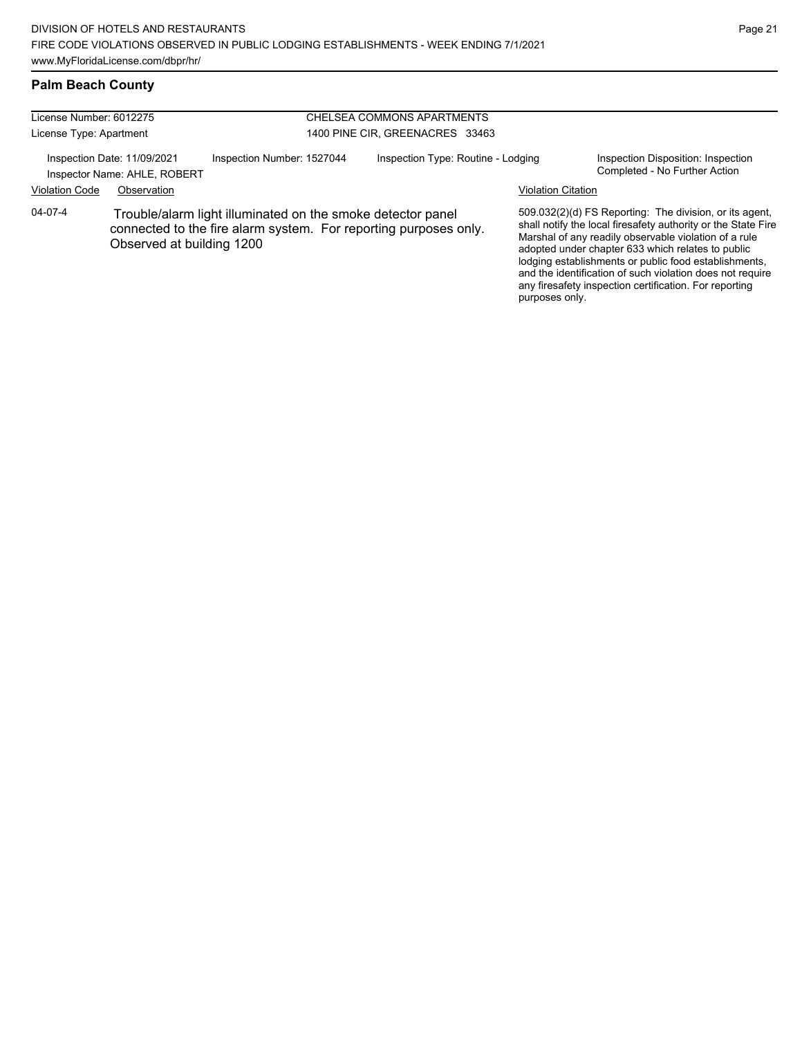| License Number: 6012275 |                                                             |                                                                                                                                 | CHELSEA COMMONS APARTMENTS         |  |                           |                                                                                                                                                                                                                                                                                                 |  |
|-------------------------|-------------------------------------------------------------|---------------------------------------------------------------------------------------------------------------------------------|------------------------------------|--|---------------------------|-------------------------------------------------------------------------------------------------------------------------------------------------------------------------------------------------------------------------------------------------------------------------------------------------|--|
| License Type: Apartment |                                                             |                                                                                                                                 | 1400 PINE CIR, GREENACRES 33463    |  |                           |                                                                                                                                                                                                                                                                                                 |  |
|                         | Inspection Date: 11/09/2021<br>Inspector Name: AHLE, ROBERT | Inspection Number: 1527044                                                                                                      | Inspection Type: Routine - Lodging |  |                           | Inspection Disposition: Inspection<br>Completed - No Further Action                                                                                                                                                                                                                             |  |
| <b>Violation Code</b>   | Observation                                                 |                                                                                                                                 |                                    |  | <b>Violation Citation</b> |                                                                                                                                                                                                                                                                                                 |  |
| 04-07-4                 | Observed at building 1200                                   | Trouble/alarm light illuminated on the smoke detector panel<br>connected to the fire alarm system. For reporting purposes only. |                                    |  |                           | 509.032(2)(d) FS Reporting: The division, or its agent,<br>shall notify the local firesafety authority or the State Fire<br>Marshal of any readily observable violation of a rule<br>adopted under chapter 633 which relates to public<br>lodging establishments or public food establishments, |  |

and the identification of such violation does not require any firesafety inspection certification. For reporting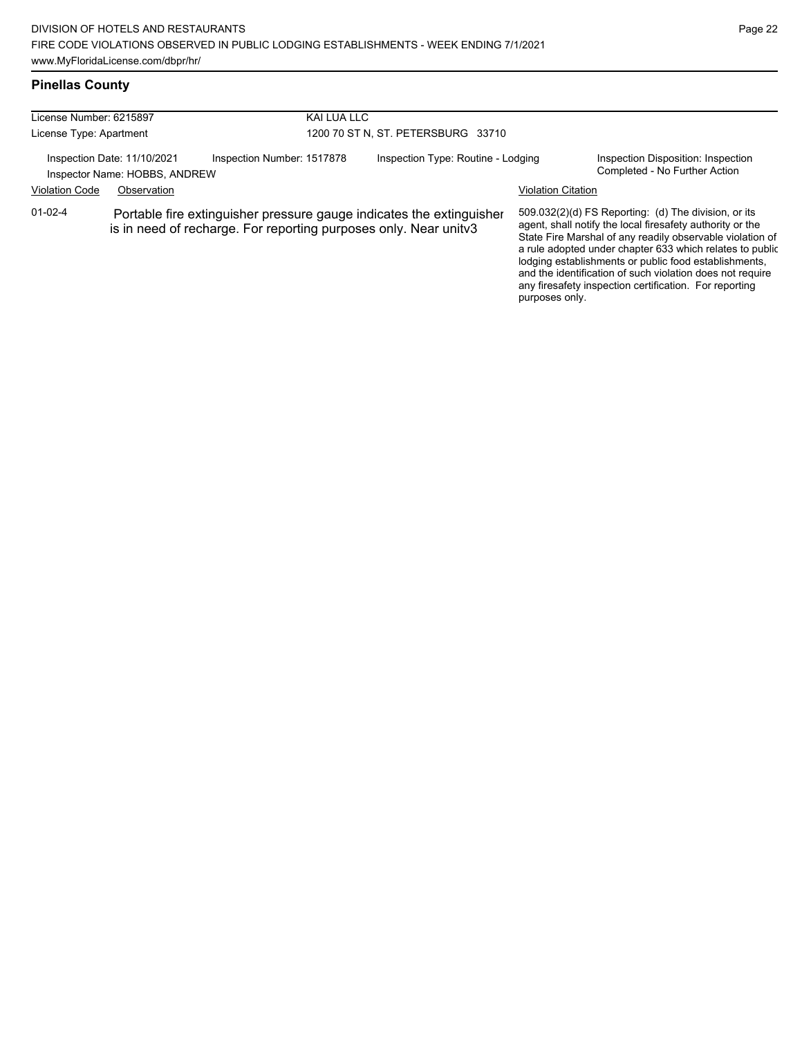and the identification of such violation does not require any firesafety inspection certification. For reporting

purposes only.

### **Pinellas County**

| License Number: 6215897                                      |             |                                                                  | KAI LUA LLC                        |                                                                      |                           |                                                                                                                                                                                                                                                                                                     |  |
|--------------------------------------------------------------|-------------|------------------------------------------------------------------|------------------------------------|----------------------------------------------------------------------|---------------------------|-----------------------------------------------------------------------------------------------------------------------------------------------------------------------------------------------------------------------------------------------------------------------------------------------------|--|
| License Type: Apartment                                      |             |                                                                  | 1200 70 ST N, ST. PETERSBURG 33710 |                                                                      |                           |                                                                                                                                                                                                                                                                                                     |  |
| Inspection Date: 11/10/2021<br>Inspector Name: HOBBS, ANDREW |             | Inspection Number: 1517878                                       |                                    | Inspection Type: Routine - Lodging                                   |                           | Inspection Disposition: Inspection<br>Completed - No Further Action                                                                                                                                                                                                                                 |  |
| <b>Violation Code</b>                                        | Observation |                                                                  |                                    |                                                                      | <b>Violation Citation</b> |                                                                                                                                                                                                                                                                                                     |  |
| $01-02-4$                                                    |             | is in need of recharge. For reporting purposes only. Near unitv3 |                                    | Portable fire extinguisher pressure gauge indicates the extinguisher |                           | 509.032(2)(d) FS Reporting: (d) The division, or its<br>agent, shall notify the local firesafety authority or the<br>State Fire Marshal of any readily observable violation of<br>a rule adopted under chapter 633 which relates to public<br>lodging establishments or public food establishments. |  |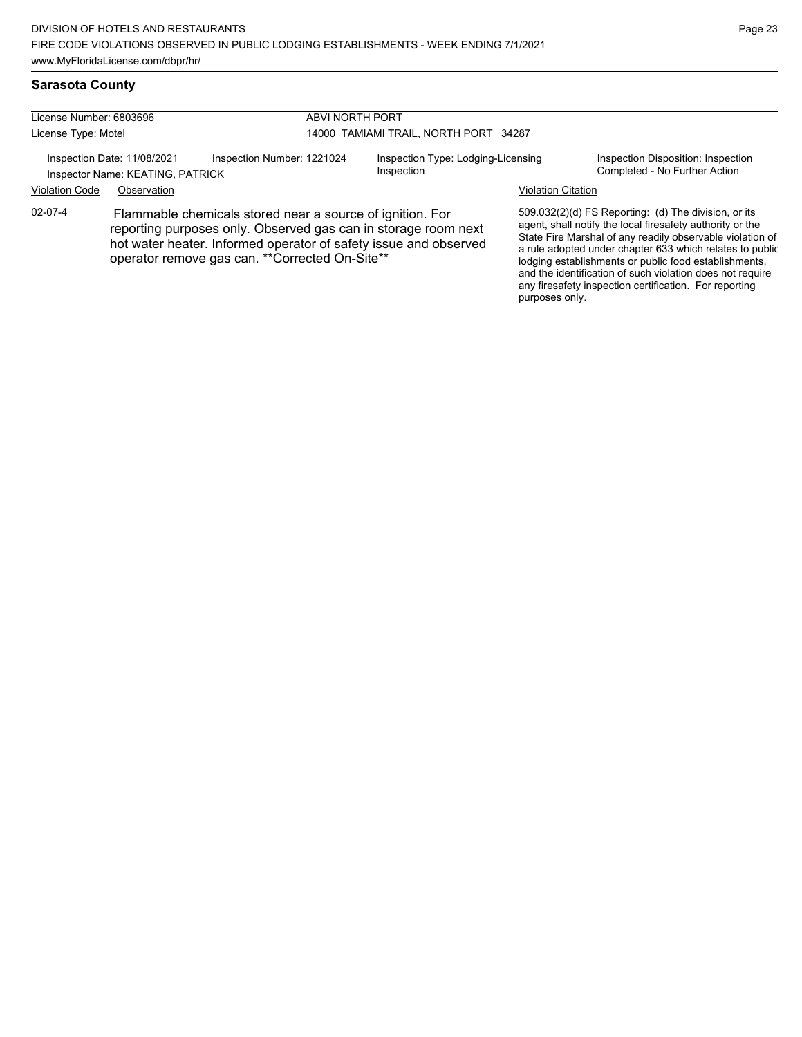and the identification of such violation does not require any firesafety inspection certification. For reporting

purposes only.

# **Sarasota County**

| License Number: 6803696<br>License Type: Motel                                                |                                                                                                                                                                                                                                                    |  | ABVI NORTH PORT<br>14000 TAMIAMI TRAIL, NORTH PORT 34287 |  |                                                                                                                                                                                                                                                                                                     |  |
|-----------------------------------------------------------------------------------------------|----------------------------------------------------------------------------------------------------------------------------------------------------------------------------------------------------------------------------------------------------|--|----------------------------------------------------------|--|-----------------------------------------------------------------------------------------------------------------------------------------------------------------------------------------------------------------------------------------------------------------------------------------------------|--|
| Inspection Number: 1221024<br>Inspection Date: 11/08/2021<br>Inspector Name: KEATING, PATRICK |                                                                                                                                                                                                                                                    |  | Inspection Type: Lodging-Licensing<br>Inspection         |  | Inspection Disposition: Inspection<br>Completed - No Further Action                                                                                                                                                                                                                                 |  |
| <b>Violation Code</b>                                                                         | Observation                                                                                                                                                                                                                                        |  |                                                          |  | <b>Violation Citation</b>                                                                                                                                                                                                                                                                           |  |
| 02-07-4                                                                                       | Flammable chemicals stored near a source of ignition. For<br>reporting purposes only. Observed gas can in storage room next<br>hot water heater. Informed operator of safety issue and observed<br>operator remove gas can. ** Corrected On-Site** |  |                                                          |  | 509.032(2)(d) FS Reporting: (d) The division, or its<br>agent, shall notify the local firesafety authority or the<br>State Fire Marshal of any readily observable violation of<br>a rule adopted under chapter 633 which relates to public<br>lodging establishments or public food establishments, |  |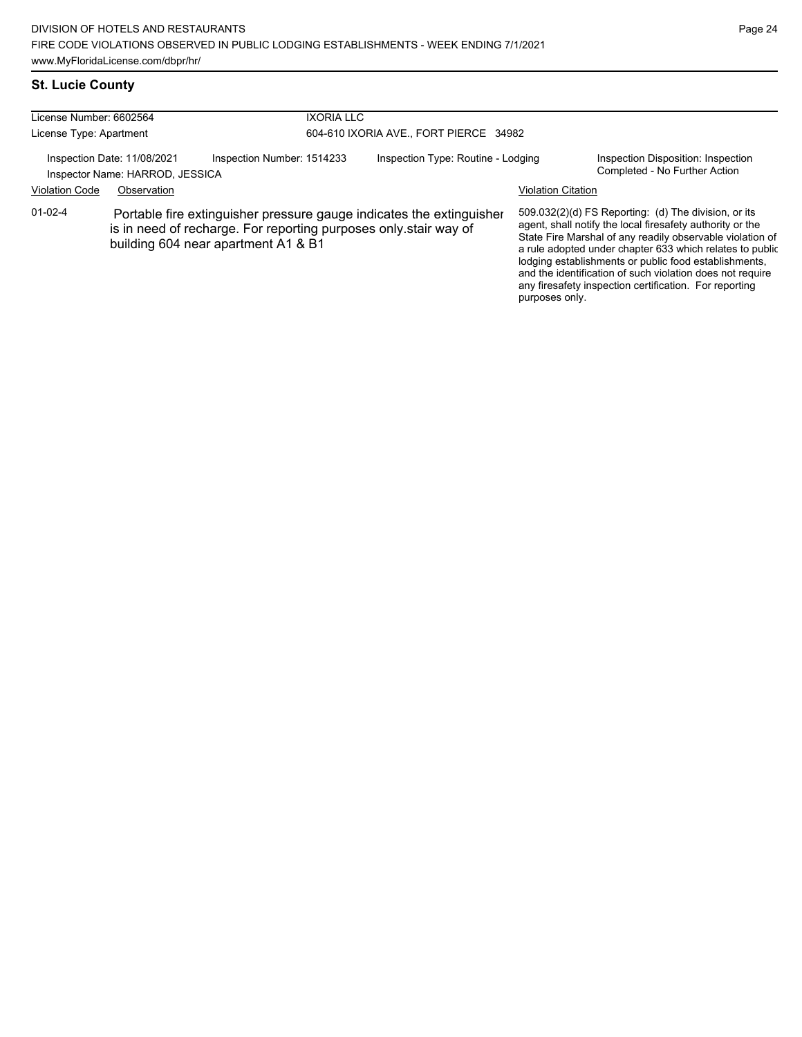# **St. Lucie County**

| License Number: 6602564                                        |             | <b>IXORIA LLC</b>                                                                                                                                                               |                                        |                           |                                                                                                                                                                                                                                                                                                                                                                                                                            |  |  |
|----------------------------------------------------------------|-------------|---------------------------------------------------------------------------------------------------------------------------------------------------------------------------------|----------------------------------------|---------------------------|----------------------------------------------------------------------------------------------------------------------------------------------------------------------------------------------------------------------------------------------------------------------------------------------------------------------------------------------------------------------------------------------------------------------------|--|--|
| License Type: Apartment                                        |             |                                                                                                                                                                                 | 604-610 IXORIA AVE., FORT PIERCE 34982 |                           |                                                                                                                                                                                                                                                                                                                                                                                                                            |  |  |
| Inspection Date: 11/08/2021<br>Inspector Name: HARROD, JESSICA |             | Inspection Number: 1514233                                                                                                                                                      | Inspection Type: Routine - Lodging     |                           | Inspection Disposition: Inspection<br>Completed - No Further Action                                                                                                                                                                                                                                                                                                                                                        |  |  |
| <b>Violation Code</b>                                          | Observation |                                                                                                                                                                                 |                                        | <b>Violation Citation</b> |                                                                                                                                                                                                                                                                                                                                                                                                                            |  |  |
| $01-02-4$                                                      |             | Portable fire extinguisher pressure gauge indicates the extinguisher<br>is in need of recharge. For reporting purposes only stair way of<br>building 604 near apartment A1 & B1 |                                        |                           | 509.032(2)(d) FS Reporting: (d) The division, or its<br>agent, shall notify the local firesafety authority or the<br>State Fire Marshal of any readily observable violation of<br>a rule adopted under chapter 633 which relates to public<br>lodging establishments or public food establishments,<br>and the identification of such violation does not require<br>any firesafety inspection certification. For reporting |  |  |